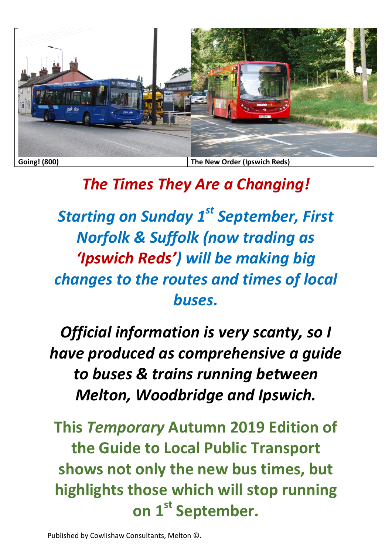

## *The Times They Are a Changing!*

*Starting on Sunday 1st September, First Norfolk & Suffolk (now trading as 'Ipswich Reds') will be making big changes to the routes and times of local buses.*

*Official information is very scanty, so I have produced as comprehensive a guide to buses & trains running between Melton, Woodbridge and Ipswich.*

**This** *Temporary* **Autumn 2019 Edition of the Guide to Local Public Transport shows not only the new bus times, but highlights those which will stop running on 1st September.**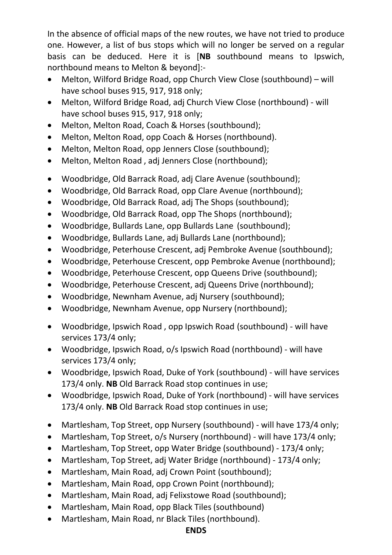In the absence of official maps of the new routes, we have not tried to produce one. However, a list of bus stops which will no longer be served on a regular basis can be deduced. Here it is [**NB** southbound means to Ipswich, northbound means to Melton & beyond]:-

- Melton, Wilford Bridge Road, opp Church View Close (southbound) will have school buses 915, 917, 918 only;
- Melton, Wilford Bridge Road, adj Church View Close (northbound) will have school buses 915, 917, 918 only;
- Melton, Melton Road, Coach & Horses (southbound);
- Melton, Melton Road, opp Coach & Horses (northbound).
- Melton, Melton Road, opp Jenners Close (southbound);
- Melton, Melton Road, adj Jenners Close (northbound);
- Woodbridge, Old Barrack Road, adj Clare Avenue (southbound);
- Woodbridge, Old Barrack Road, opp Clare Avenue (northbound);
- Woodbridge, Old Barrack Road, adj The Shops (southbound);
- Woodbridge, Old Barrack Road, opp The Shops (northbound);
- Woodbridge, Bullards Lane, opp Bullards Lane (southbound);
- Woodbridge, Bullards Lane, adj Bullards Lane (northbound);
- Woodbridge, Peterhouse Crescent, adj Pembroke Avenue (southbound);
- Woodbridge, Peterhouse Crescent, opp Pembroke Avenue (northbound);
- Woodbridge, Peterhouse Crescent, opp Queens Drive (southbound);
- Woodbridge, Peterhouse Crescent, adj Queens Drive (northbound);
- Woodbridge, Newnham Avenue, adj Nursery (southbound);
- Woodbridge, Newnham Avenue, opp Nursery (northbound);
- Woodbridge, Ipswich Road , opp Ipswich Road (southbound) will have services 173/4 only;
- Woodbridge, Ipswich Road, o/s Ipswich Road (northbound) will have services 173/4 only;
- Woodbridge, Ipswich Road, Duke of York (southbound) will have services 173/4 only. **NB** Old Barrack Road stop continues in use;
- Woodbridge, Ipswich Road, Duke of York (northbound) will have services 173/4 only. **NB** Old Barrack Road stop continues in use;
- Martlesham, Top Street, opp Nursery (southbound) will have 173/4 only;
- Martlesham, Top Street, o/s Nursery (northbound) will have 173/4 only;
- Martlesham, Top Street, opp Water Bridge (southbound) 173/4 only;
- Martlesham, Top Street, adj Water Bridge (northbound) 173/4 only;
- Martlesham, Main Road, adj Crown Point (southbound);
- Martlesham, Main Road, opp Crown Point (northbound);
- Martlesham, Main Road, adj Felixstowe Road (southbound);
- Martlesham, Main Road, opp Black Tiles (southbound)
- Martlesham, Main Road, nr Black Tiles (northbound).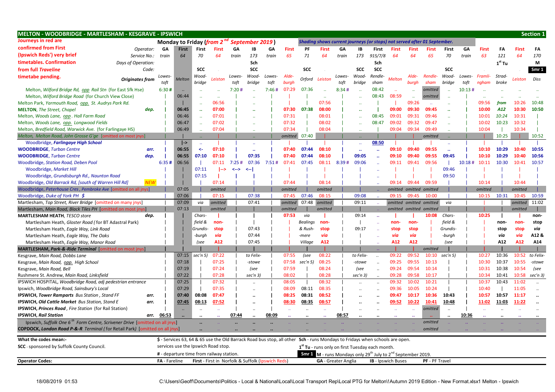| <b>MELTON - WOODBRIDGE - MARTLESHAM - KESGRAVE - IPSWICH</b>                            |            |               |           |                      |                                                                                                                             |        |                      |        |              |                      |                                                             |        |                      |                      |                                                                                      |                         |                |                      |        |         |          |         | <b>Section 1</b> |
|-----------------------------------------------------------------------------------------|------------|---------------|-----------|----------------------|-----------------------------------------------------------------------------------------------------------------------------|--------|----------------------|--------|--------------|----------------------|-------------------------------------------------------------|--------|----------------------|----------------------|--------------------------------------------------------------------------------------|-------------------------|----------------|----------------------|--------|---------|----------|---------|------------------|
| Journeys in red are                                                                     |            |               |           |                      | Monday to Friday (from 2 <sup>nd</sup>                                                                                      |        | September 2019       |        |              |                      |                                                             |        |                      |                      | Shading shows current journeys (or stops) not served after 01 September.             |                         |                |                      |        |         |          |         |                  |
| confirmed from First<br>Operator:                                                       |            | GA            | First     | First                | First                                                                                                                       | GA     | <b>IB</b>            | GA     | <b>First</b> | PF                   | First                                                       | GΑ     | IB                   | First                | First                                                                                | First                   | First          | First                | GA     | First   | FA       | First   | FA               |
| (Ipswich Reds') very brief<br>Service No.:                                              |            | train         | 64        | 70                   | 64                                                                                                                          | train  | 173                  | train  | 65           | 71                   | 64                                                          | train  | 173                  | 915/7/8              | 64                                                                                   | 64                      | 65             | 70                   | train  | 63      | 121      | 64      | 170              |
| timetables. Confirmation<br>Days of Operation:                                          |            |               |           |                      |                                                                                                                             |        | Sch                  |        |              |                      |                                                             |        |                      | Sch                  |                                                                                      |                         |                |                      |        |         | $1st$ Tu |         | М                |
| from full Traveline                                                                     | Code:      |               |           | <b>SCC</b>           |                                                                                                                             |        | <b>SCC</b>           |        |              | <b>SCC</b>           |                                                             |        | <b>SCC</b>           | <b>SCC</b>           |                                                                                      |                         |                | <b>SCC</b>           |        |         |          |         | Smr 1            |
| timetabe pending.                                                                       |            | Lowes-        |           | Wood-                |                                                                                                                             | Lowes- | Wood-                | Lowes- | Alde-        |                      |                                                             | Lowes- | Wood-                | Rendle-              |                                                                                      | Alde-                   | Rendle-        | Wood-                | Lowes- | Framli- | Strad-   |         |                  |
| <b>Originates from</b>                                                                  |            | toft          | Melton    | bridge               | Leiston                                                                                                                     | toft   | bridge               | toft   | burgh        | Orford               | Leiston                                                     | toft   | bridge               | sham                 | <b>Melton</b>                                                                        | burgh                   | sham           | bridge               | toft   | ngham   | broke    | Leiston | Diss             |
| Melton, Wilford Bridge Rd, opp Rail Stn (for East Sfk Hse)                              |            | 6:30#         | $\cdot$ . |                      | $\ddotsc$                                                                                                                   | 7:20#  | $\ddotsc$            | 7:46#  | 07:29        | 07:36                | $\ddotsc$                                                   | 8:34#  |                      | 08:42                | $\ddotsc$                                                                            |                         | omitted        | $\ddotsc$            | 10:13# |         |          |         |                  |
| Melton, Wilford Bridge Road (for Church View Close)                                     |            |               | 06:44     | $\ddotsc$            | $\ldots$                                                                                                                    |        |                      |        |              |                      | $\ddotsc$                                                   |        |                      | 08:43                | 08:59                                                                                | $\ddotsc$               | omitted        |                      |        |         |          |         |                  |
| Melton Park, Yarmouth Road, opp. St. Audrys Park Rd.                                    |            |               |           | $\ddotsc$            | 06:56                                                                                                                       |        |                      |        |              |                      | 07:56                                                       |        |                      |                      |                                                                                      | 09:26                   | $\sim$         |                      |        | 09:56   | from     | 10:26   | 10:48            |
| <b>MELTON, The Street, Chapel</b>                                                       | dep.       |               | 06:45     | $\ddot{\phantom{1}}$ | 07:00                                                                                                                       |        |                      |        | 07:30        | 07:38                | 08:00                                                       |        |                      |                      | 09:00                                                                                | 09:30                   | 09:45          |                      |        | 10:00   | A12      | 10:30   | 10:50            |
| Melton, Woods Lane, opp. Hall Farm Road                                                 |            |               | 06:46     |                      | 07:01                                                                                                                       |        |                      |        | 07:31        |                      | 08:01                                                       |        |                      | 08:45                | 09:01                                                                                | 09:31                   | 09:46          |                      |        | 10:01   | 10:24    | 10:31   |                  |
| Melton, Woods Lane, opp. Longwood Fields                                                |            |               | 06:47     |                      | 07:02                                                                                                                       |        |                      |        | 07:32        |                      | 08:02                                                       |        |                      | 08:47                | 09:02                                                                                | 09:32                   | 09:47          |                      |        | 10:02   | 10:23    | 10:32   |                  |
| Melton, Bredfield Road, Warwick Ave. (for Farlingaye HS)                                |            |               | 06:49     |                      | 07:04                                                                                                                       |        |                      |        | 07:34        |                      | 08:04                                                       |        |                      |                      | 09:04                                                                                | 09:34                   | 09:49          |                      |        | 10:04   |          | 10:34   |                  |
| Melton, Melton Road, John Grosse G'ge [omitted on most jnys]                            |            |               |           |                      |                                                                                                                             |        |                      |        | omitted      | 07:40                |                                                             |        |                      |                      |                                                                                      |                         | omitted        |                      |        |         | 10:25    |         | 10:52            |
| Woodbridge, Farlingaye High School                                                      |            |               | $\mid$ -> | $\mathbf{1}$         |                                                                                                                             |        |                      |        |              |                      |                                                             |        | Ω.                   | 08:50                |                                                                                      |                         |                |                      |        |         |          |         |                  |
| <b>WOODBRIDGE, Turban Centre</b>                                                        | arr.       |               | 06:55     | $\prec$ -            | 07:10                                                                                                                       |        | $\ddot{\phantom{a}}$ |        | 07:40        | 07:44                | 08:10                                                       |        | $\ddot{\phantom{a}}$ | $\ddot{\phantom{a}}$ | 09:10                                                                                | 09:40                   | 09:55          | $\ddot{\phantom{a}}$ |        | 10:10   | 10:29    | 10:40   | 10:55            |
| <b>WOODBRIDGE, Turban Centre</b>                                                        | dep.       |               | 06:55     | 07:10                | 07:10                                                                                                                       |        | 07:35                |        | 07:40        | 07:44                | 08:10                                                       |        | 09:05                | $\ddot{\phantom{a}}$ | 09:10                                                                                | 09:40                   | 09:55          | 09:45                |        | 10:10   | 10:29    | 10:40   | 10:56            |
| Woodbridge, Station Road, Deben Pool                                                    |            | 6:35#         | 06:56     |                      | 07:11                                                                                                                       | 7:25#  | 07:36                | 7:51#  | 07:41        | 07:45                | 08:11                                                       | 8:39#  | 09:06                |                      | 09:11                                                                                | 09:41                   | 09:56          |                      | 10:18# | 10:11   | 10:30    | 10:41   | 10:57            |
| Woodbridge, Market Hill                                                                 |            |               |           | 07:11                |                                                                                                                             | <-->   | <--⊺                 |        |              |                      |                                                             |        |                      |                      |                                                                                      |                         |                | 09:46                |        |         |          |         |                  |
| Woodbridge, Grundisburgh Rd., Naunton Road                                              |            |               |           | 07:15                |                                                                                                                             |        |                      |        |              |                      |                                                             |        |                      |                      |                                                                                      |                         |                | 09:50                |        |         |          |         |                  |
| Woodbridge, Old Barrack Rd, [south of Warren Hill Rd]                                   | <b>NEV</b> |               |           |                      | 07:14                                                                                                                       |        |                      |        | 07:44        |                      | 08:14                                                       |        |                      |                      | 09:14                                                                                | 09:44                   | 09:59          |                      |        | 10:14   |          | 10:44   |                  |
| Woodbridge, Peterhouse Cres, Pembroke Ave [omitted on all jnys]                         |            |               | 07:05     |                      | omitted                                                                                                                     |        |                      |        | omitted      |                      | omitted                                                     |        |                      |                      |                                                                                      | omitted omitted omitted |                |                      |        | omitted |          | omitted |                  |
| Woodbridge, Duke of York PH \$                                                          |            |               | 07:06     |                      | 07:15                                                                                                                       |        | 07:38                |        | 07:45        | 07:46                | 08:15                                                       |        | 09:08                |                      | 09:15                                                                                | 09:45                   | 10:00          |                      |        | 10:15   | 10:31    | 10:45   | 10:59            |
| Martlesham, Top Street, River Bridge [omitted on many jnys]                             |            |               | 07:09     | via                  | omitted                                                                                                                     |        | 07:41                |        | omitted      | 07:48                | omitted                                                     |        | 09:11                |                      |                                                                                      | omitted omitted omitted |                | via                  |        |         |          | omitted | 11:02            |
| Martlesham, Main Road, Black Tiles PH [omitted on most jnys]                            |            |               | 07:13     |                      | omitted                                                                                                                     |        |                      |        | omitted      |                      | omitted                                                     |        |                      |                      |                                                                                      | omitted omitted omitted |                |                      |        |         |          | omitted |                  |
| <b>MARTLESHAM HEATH, TESCO store</b>                                                    | dep.       |               |           | Chars-               |                                                                                                                             |        |                      |        | 07:53        | via                  |                                                             |        | 09:14                | ä.                   |                                                                                      |                         | 10:08          | Chars-               |        | 10:25   |          |         | non-             |
| Martlesham Heath, Gloster Road (for BT Adastral Park)                                   |            |               |           | field &              | non-                                                                                                                        |        |                      |        |              | <b>Bealings</b>      | non-                                                        |        | $\mathbf{I}$         |                      | non-                                                                                 | non-                    |                | field &              |        |         | non-     | non-    | stop             |
| Martlesham Heath, Eagle Way, Link Road                                                  |            |               |           | Grundis-             | stop                                                                                                                        |        | 07:43                |        |              | & Rush-              | stop                                                        |        | 09:17                |                      | stop                                                                                 | stop                    |                | Grundis-             |        |         | stop     | stop    | via              |
| Martlesham Heath, Eagle Way, The Oaks                                                   |            |               |           | -burgh               | via                                                                                                                         |        | 07:44                |        |              | -mere                | via                                                         |        |                      |                      | via                                                                                  | via                     |                | -burqh               |        |         | via      | via     | A12 &            |
| Martlesham Heath, Eagle Way, Manor Road                                                 |            |               |           | (see                 | A12                                                                                                                         |        | 07:45                |        |              | Village              | A12                                                         |        |                      |                      | A12                                                                                  | A12                     |                | (see                 |        |         | A12      | A12     | A14              |
| MARTLESHAM, Park-&-Ride Terminal [omitted on most jnys                                  |            |               |           |                      |                                                                                                                             |        |                      |        |              |                      |                                                             |        |                      |                      |                                                                                      |                         | omitted        |                      |        |         |          |         |                  |
| Kesgrave, Main Road, Dobbs Lane                                                         |            |               | 07:15     | sec'n 5              | 07:22                                                                                                                       |        | to Felix-            |        | 07:55        | (see                 | 08:22                                                       |        | to Felix-            | $\sim$               | 09:22                                                                                | 09:52                   | 10:10          | sec'n 5)             |        | 10:27   | 10:36    | 10:52   | to Felix-        |
| Kesgrave, Main Road, opp. High School                                                   |            |               | 07:18     |                      | 07:25                                                                                                                       |        | -stowe               |        | 07:58        | sec'n 5)             | 08:25                                                       |        | -stowe               | $\ddotsc$            | 09:25                                                                                | 09:55                   | 10:13          |                      |        | 10:30   | 10:37    | 10:55   | -stowe           |
| Kesgrave, Main Road, Bell                                                               |            |               | 07:19     |                      | 07:24                                                                                                                       |        | (see                 |        | 07:59        |                      | 08:24                                                       |        | (see                 | $\ddot{\phantom{a}}$ | 09:24                                                                                | 09:54                   | 10:14          |                      |        | 10:31   | 10:38    | 10:54   | (see             |
| Rushmere St. Andrew, Main Road, Linksfield                                              |            |               | 07:22     |                      | 07:28                                                                                                                       |        | sec'n 3)             |        | 08:02        |                      | 08:28                                                       |        | $sec'n$ 3)           |                      | 09:28                                                                                | 09:58                   | 10:17          |                      |        | 10:34   | 10:41    | 10:58   | $sec'n$ 3)       |
| IPSWICH HOSPITAL, Woodbridge Road, adj pedestrian entrance                              |            |               | 07:25     |                      | 07:32                                                                                                                       |        | $\ddot{\phantom{a}}$ |        | 08:05        |                      | 08:32                                                       |        | $\ddot{\phantom{a}}$ |                      | 09:32                                                                                | 10:02                   | 10:21          |                      |        | 10:37   | 10:43    | 11:02   |                  |
| Ipswich, Woodbridge Road, Sainsbury's Local                                             |            |               | 07:29     |                      | 07:35                                                                                                                       |        |                      |        | 08:09        | 08:11                | 08:35                                                       |        |                      |                      | 09:36                                                                                | 10:05                   | 10:24          |                      |        | 10:40   |          | 11:05   |                  |
| <b>IPSWICH, Tower Ramparts</b> Bus Station, Stand FF                                    | arr.       |               | 07:40     | 08:08                | 07:47                                                                                                                       |        |                      |        | 08:25        | 08:31                | 08:52                                                       |        |                      |                      | 09:47                                                                                | 10:17                   | 10:36          | 10:43                |        | 10:57   | 10:57    | 11:17   |                  |
| IPSWICH, Old Cattle Market Bus Station, Stand E                                         | arr.       |               | 07:45     | 08:13                | 07:52                                                                                                                       |        |                      |        | 08:30        | 08:35                | 08:57                                                       |        |                      |                      | 09:52                                                                                | 10:22                   | 10:41          | 10:48                |        | 11:02   | 11:03    | 11:22   |                  |
| IPSWICH, Princes Road, Fire Station (for Rail Station)                                  |            |               |           | $\ddotsc$            | $\ddotsc$                                                                                                                   |        |                      |        | $\ddotsc$    | $\ddot{\phantom{a}}$ |                                                             |        |                      |                      |                                                                                      |                         | omitted        |                      |        |         |          |         |                  |
| <b>IPSWICH, Rail Station</b>                                                            | arr.       | 06:53         |           |                      |                                                                                                                             | 07:44  |                      | 08:09  |              |                      |                                                             | 08:57  |                      |                      |                                                                                      |                         |                |                      | 10:36  |         |          |         |                  |
| Ipswich, Suffolk One 6 <sup>th</sup> Form Centre, Scrivener Drive [omitted on all jnys] |            |               |           | $\ddotsc$            |                                                                                                                             |        |                      |        |              | $\ddot{\phantom{a}}$ |                                                             |        |                      |                      |                                                                                      |                         | omitted        |                      |        |         |          |         |                  |
| <b>COPDOCK, London Road P-&amp;-R</b> Terminal (for Retail Park) [omitted on all jnys]  |            |               |           |                      |                                                                                                                             |        |                      |        |              |                      |                                                             |        |                      |                      |                                                                                      |                         | omitted        |                      |        |         |          |         |                  |
| What the codes mean:-                                                                   |            |               |           |                      | \$ - Services 63, 64 & 65 use the Old Barrack Road bus stop, all other Sch - runs Mondays to Fridays when schools are open. |        |                      |        |              |                      |                                                             |        |                      |                      |                                                                                      |                         |                |                      |        |         |          |         |                  |
| SCC - sponsored by Suffolk County Council.                                              |            |               |           |                      | services use the Ipswich Road stop                                                                                          |        |                      |        |              |                      | 1 <sup>st</sup> Tu - runs only on first Tuesday each month. |        |                      |                      |                                                                                      |                         |                |                      |        |         |          |         |                  |
|                                                                                         |            |               |           |                      | # - departure time from railway station.                                                                                    |        |                      |        |              |                      |                                                             |        |                      |                      | <b>Smr 1</b> M - runs Mondays only 29 <sup>th</sup> July to $2^{nd}$ September 2019. |                         |                |                      |        |         |          |         |                  |
| <b>Operator Codes:</b>                                                                  |            | FA - Fareline |           |                      | First - First in Norfolk & Suffolk (Ipswich Reds)                                                                           |        |                      |        |              |                      | <b>GA</b> - Greater Anglia                                  |        |                      |                      | <b>IB</b> - Ipswich Buses                                                            |                         | PF - PF Travel |                      |        |         |          |         |                  |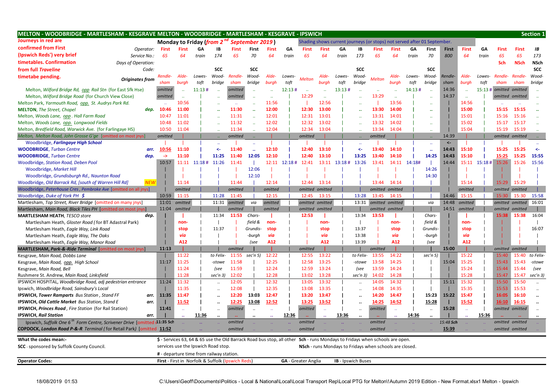| MELTON - WOODBRIDGE - MARTLESHAM - KESGRAVE MELTON - WOODBRIDGE - MARTLESHAM - KESGRAVE - IPSWICH |                        |                             |                                          |        |                      |                                                   |                      |                      |        |                                                                                                                            |                 |        |                           |                                                                          |           |        |                      |              |              |        |                 |                 | <b>Section 1</b>     |
|---------------------------------------------------------------------------------------------------|------------------------|-----------------------------|------------------------------------------|--------|----------------------|---------------------------------------------------|----------------------|----------------------|--------|----------------------------------------------------------------------------------------------------------------------------|-----------------|--------|---------------------------|--------------------------------------------------------------------------|-----------|--------|----------------------|--------------|--------------|--------|-----------------|-----------------|----------------------|
| Journeys in red are                                                                               |                        |                             | Monday to Friday (from 2 <sup>nd</sup>   |        |                      |                                                   | September 2019)      |                      |        |                                                                                                                            |                 |        |                           | Shading shows current journeys (or stops) not served after 01 September. |           |        |                      |              |              |        |                 |                 |                      |
| confirmed from First                                                                              | Operator:              | First                       | First                                    | GA     | IB                   | <b>First</b>                                      | First                | <b>First</b>         | GА     | First                                                                                                                      | First           | GА     | IB                        | First                                                                    | First     | GA     | First                | First        | <b>First</b> | GΑ     | First           | First           | IB                   |
| (Ipswich Reds') very brief                                                                        | Service No.:           | 65                          | 64                                       | train  | 174                  | 65                                                | 70                   | 64                   | train  | 65                                                                                                                         | 64              | train  | 173                       | 65                                                                       | 64        | train  | 70                   | 800          | 64           | train  | 65              | 65              | 173                  |
| timetables. Confirmation                                                                          | Days of Operation:     |                             |                                          |        |                      |                                                   |                      |                      |        |                                                                                                                            |                 |        |                           |                                                                          |           |        |                      |              |              |        | <b>Sch</b>      | <b>NSch</b>     | <b>NSch</b>          |
| from full Traveline                                                                               | Code:                  |                             |                                          |        | <b>SCC</b>           |                                                   | <b>SCC</b>           |                      |        |                                                                                                                            |                 |        | <b>SCC</b>                |                                                                          |           |        | <b>SCC</b>           |              |              |        |                 |                 | <b>SCC</b>           |
| timetabe pending                                                                                  | <b>Originates from</b> | Rendle-                     | Alde-                                    | Lowes- | Wood-                | Rendle-                                           | Wood-                | Alde-                | Lowes- | <b>Melton</b>                                                                                                              | Alde-           | Lowes- | Wood-                     | <b>Melton</b>                                                            | Alde-     | Lowes- | Wood-                | Rendle-      | Alde-        | Lowes- | Rendle-         | <b>Rendle-</b>  | Wood-                |
|                                                                                                   |                        | sham                        | burgh                                    | toft   | bridge               | sham                                              | bridge               | burgh                | toft   |                                                                                                                            | burgh           | toft   | bridge                    |                                                                          | burgh     | toft   | bridge               | sham         | burgh        | toft   | sham            | sham            | bridge               |
| Melton, Wilford Bridge Rd, opp Rail Stn (for East Sfk Hse)                                        |                        | omitted                     | $\ddotsc$                                | 11:13# | $\ddotsc$            | omitted                                           | $\ddotsc$            |                      | 12:13  | $\ddotsc$                                                                                                                  | $\ddotsc$       | 13:13# |                           | à.                                                                       | Ω.        | 14:13# | $\ddotsc$            | 14:36        | $\ddotsc$    | 15:13# | omitted omitted |                 |                      |
| Melton, Wilford Bridge Road (for Church View Close)                                               |                        | omitted                     | $\mathbf{1}$                             |        |                      | omitted                                           | $\ddotsc$            |                      |        | 12:29                                                                                                                      | $\ddotsc$       |        |                           | 13:29                                                                    | $\ddotsc$ |        | $\ddot{\phantom{a}}$ | 14:37        | $\ddotsc$    |        | omitted omitted |                 |                      |
| Melton Park, Yarmouth Road, opp. St. Audrys Park Rd.                                              |                        | $\mathcal{L}_{\mathcal{A}}$ | 10:56                                    |        |                      | $\mathcal{L}_{\mathcal{A}}$                       | $\ddotsc$            | 11:56                |        |                                                                                                                            | 12:56           |        |                           |                                                                          | 13:56     |        |                      |              | 14:56        |        | $\sim$          | $\sim$          |                      |
| <b>MELTON, The Street, Chapel</b>                                                                 | dep.                   | 10:46                       | 11:00                                    |        | $\ddotsc$            | 11:30                                             |                      | 12:00                |        | 12:30                                                                                                                      | 13:00           |        |                           | 13:30                                                                    | 14:00     |        | ٠.                   |              | 15:00        |        | 15:15           | 15:15           |                      |
| Melton, Woods Lane, opp. Hall Farm Road                                                           |                        | 10:47                       | 11:01                                    |        |                      | 11:31                                             |                      | 12:01                |        | 12:31                                                                                                                      | 13:01           |        |                           | 13:31                                                                    | 14:01     |        |                      |              | 15:01        |        | 15:16           | 15:16           |                      |
| Melton, Woods Lane, opp. Longwood Fields                                                          |                        | 10:48                       | 11:02                                    |        |                      | 11:32                                             |                      | 12:02                |        | 12:32                                                                                                                      | 13:02           |        |                           | 13:32                                                                    | 14:02     |        |                      |              | 15:02        |        | 15:17           | 15:17           |                      |
| Melton, Bredfield Road, Warwick Ave. (for Farlingaye HS)                                          |                        | 10:50                       | 11:04                                    |        |                      | 11:34                                             |                      | 12:04                |        | 12:34                                                                                                                      | 13:04           |        |                           | 13:34                                                                    | 14:04     |        |                      |              | 15:04        |        | 15:19           | 15:19           |                      |
| Melton, Melton Road, John Grosse G'ge [omitted on most jnys]                                      |                        | omitted                     |                                          |        |                      | omitted                                           |                      |                      |        | omitted                                                                                                                    |                 |        |                           | omitted                                                                  |           |        |                      | 14:39        |              |        | omitted omitted |                 |                      |
| Woodbridge, Farlingaye High School                                                                |                        |                             |                                          |        |                      |                                                   | ä.                   |                      |        |                                                                                                                            |                 |        |                           |                                                                          |           |        | $\ddotsc$            | $\leftarrow$ |              |        |                 |                 | $\sim$               |
| <b>WOODBRIDGE, Turban Centre</b>                                                                  | arr.                   | 10:56                       | 11:10                                    |        | <-                   | 11:40                                             | $\ddot{\phantom{a}}$ | 12:10                |        | 12:40                                                                                                                      | 13:10           |        | $\leftarrow$              | 13:40                                                                    | 14:10     |        | $\ddot{\phantom{a}}$ | 14:43        | 15:10        |        | 15:25           | 15:25           | $\leftarrow$         |
| <b>WOODBRIDGE, Turban Centre</b>                                                                  | dep.                   | $\rightarrow$               | 11:10                                    |        | 11:25                | 11:40                                             | 12:05                | 12:10                |        | 12:40                                                                                                                      | 13:10           |        | 13:25                     | 13:40                                                                    | 14:10     |        | 14:25                | 14:43        | 15:10        |        | 15:25           | 15:25           | 15:55                |
| <b>Woodbridge, Station Road, Deben Pool</b>                                                       |                        | 10:57                       | 11:11                                    | 11:18# | 11:26                | 11:41                                             |                      | 12:11                | 12:18# | 12:41                                                                                                                      | 13:11           | 13:18# | 13:26                     | 13:41                                                                    | 14:11     | 14:18# |                      | 14:44        | 15:11        | 15:18# | 15:26           | 15:26           | 15:56                |
| Woodbridge, Market Hill                                                                           |                        |                             |                                          |        |                      |                                                   | 12:06                |                      |        |                                                                                                                            |                 |        |                           |                                                                          |           |        | 14:26                |              |              |        |                 |                 |                      |
| Woodbridge, Grundisburgh Rd., Naunton Road                                                        |                        |                             |                                          |        |                      |                                                   | 12:10                |                      |        |                                                                                                                            |                 |        |                           |                                                                          |           |        | 14:30                |              |              |        |                 |                 |                      |
| Woodbridge, Old Barrack Rd, [south of Warren Hill Rd]                                             | <b>NEW</b>             |                             | 11:14                                    |        |                      | 11:44                                             |                      | 12:14                |        | 12:44                                                                                                                      | 13:14           |        |                           | 13:44                                                                    | 14:14     |        |                      |              | 15:14        |        | 15:29           | 15:29           |                      |
| Woodbridge, Peterhouse Cres, Pembroke Ave [omitted on all jnys]                                   |                        |                             | omitted                                  |        |                      | omitted                                           |                      | omitted              |        |                                                                                                                            | omitted omitted |        |                           | omitted omitted                                                          |           |        |                      |              | omitted      |        | omitted omitted |                 |                      |
| Woodbridge, Duke of York PH \$                                                                    |                        | 10:59                       | 11:15                                    |        | 11:28                | 11:45                                             |                      | 12:15                |        | 12:45                                                                                                                      | 13:15           |        | 13:28                     | 13:45                                                                    | 14:15     |        |                      | 14:46        | 15:15        |        | 15:30           | 15:30           | 15:58                |
| Martlesham, Top Street, River Bridge [omitted on many jnys]                                       |                        | 11:01                       | omitted                                  |        | 11:31                | omitted                                           | via                  | omitted              |        | omitted omitted                                                                                                            |                 |        | 13:31                     | omitted omitted                                                          |           |        | via                  | 14:48        | omitted      |        |                 | omitted omitted | 16:01                |
| Martlesham, Main Road, Black Tiles PH [omitted on most jnys]                                      |                        | 11:04                       | omitted                                  |        |                      | omitted                                           |                      | omitted              |        | omitted                                                                                                                    | omitted         |        |                           | omitted omitted                                                          |           |        |                      | 14:51        | omitted      |        | omitted omitted |                 |                      |
| <b>MARTLESHAM HEATH, TESCO store</b>                                                              | dep.                   |                             |                                          |        | 11:34                | 11:53                                             | Chars-               |                      |        | 12:53                                                                                                                      |                 |        | 13:34                     | 13:53                                                                    |           |        | Chars-               |              |              |        | 15:38           | 15:38           | 16:04                |
| Martlesham Heath, Gloster Road (for BT Adastral Park)                                             |                        |                             | non-                                     |        |                      |                                                   | field &              | non-                 |        |                                                                                                                            | non-            |        |                           |                                                                          | non-      |        | field &              |              | non-         |        |                 |                 |                      |
| Martlesham Heath, Eagle Way, Link Road                                                            |                        |                             | stop                                     |        | 11:37                |                                                   | Grundis-             | stop                 |        |                                                                                                                            | stop            |        | 13:37                     |                                                                          | stop      |        | Grundis-             |              | stop         |        |                 |                 | 16:07                |
| Martlesham Heath, Eagle Way, The Oaks                                                             |                        |                             | via                                      |        |                      |                                                   | -burgh               | via                  |        |                                                                                                                            | via             |        | 13:38                     |                                                                          | via       |        | -burgh               |              | via          |        |                 |                 |                      |
| Martlesham Heath, Eagle Way, Manor Road                                                           |                        |                             | A12                                      |        |                      |                                                   | (see                 | A12                  |        |                                                                                                                            | A12             |        | 13:39                     |                                                                          | A12       |        | (see                 |              | A12          |        |                 |                 |                      |
| MARTLESHAM, Park-&-Ride Terminal [omitted on most jnys]                                           |                        | 11:13                       |                                          |        |                      | omitted                                           |                      |                      |        | omitted                                                                                                                    |                 |        |                           | omitted                                                                  |           |        |                      | 15:00        |              |        | omitted omitted |                 |                      |
| Kesgrave, Main Road, Dobbs Lane                                                                   |                        |                             | 11:22                                    |        | to Felix-            | 11:55                                             | sec'n 5              | 12:22                |        | 12:55                                                                                                                      | 13:22           |        | to Felix-                 | 13:55                                                                    | 14:22     |        | sec'n 5              |              | 15:22        |        | 15:40           | 15:40           | to Felix-            |
| Kesgrave, Main Road, opp. High School                                                             |                        | 11:17                       | 11:25                                    |        | -stowe               | 11:58                                             |                      | 12:25                |        | 12:58                                                                                                                      | 13:25           |        | -stowe                    | 13:58                                                                    | 14:25     |        |                      | 15:04        | 15:25        |        | 15:43           | 15:43           | -stowe               |
| Kesgrave, Main Road, Bell                                                                         |                        |                             | 11:24                                    |        | (see                 | 11:59                                             |                      | 12:24                |        | 12:59                                                                                                                      | 13:24           |        | (see                      | 13:59                                                                    | 14:24     |        |                      |              | 15:24        |        | 15:44           | 15:44           | (see                 |
| Rushmere St. Andrew, Main Road, Linksfield                                                        |                        |                             | 11:28                                    |        | sec'n 3)             | 12:02                                             |                      | 12:28                |        | 13:02                                                                                                                      | 13:28           |        | sec'n 3)                  | 14:02                                                                    | 14:28     |        |                      |              | 15:28        |        | 15:47           | 15:47           | $sec'n$ 3)           |
| IPSWICH HOSPITAL, Woodbridge Road, adj pedestrian entrance                                        |                        | 11:24                       | 11:32                                    |        | $\ddot{\phantom{0}}$ | 12:05                                             |                      | 12:32                |        | 13:05                                                                                                                      | 13:32           |        | $\ddotsc$                 | 14:05                                                                    | 14:32     |        |                      | 15:11        | 15:32        |        | 15:50           | 15:50           | $\sim$               |
| Ipswich, Woodbridge Road, Sainsbury's Local                                                       |                        |                             | 11:35                                    |        | $\ddot{\phantom{0}}$ | 12:08                                             |                      | 12:35                |        | 13:08                                                                                                                      | 13:35           |        |                           | 14:08                                                                    | 14:35     |        |                      |              | 15:35        |        | 15:53           | 15:53           | $\ddotsc$            |
| <b>IPSWICH, Tower Ramparts</b> Bus Station, Stand FF                                              | arr.                   | 11:35                       | 11:47                                    |        |                      | 12:20                                             | 13:03                | 12:47                |        | 13:20                                                                                                                      | 13:47           |        |                           | 14:20                                                                    | 14:47     |        | 15:23                | 15:22        | 15:47        |        | 16:05           | 16:10           | $\ddot{\phantom{a}}$ |
| <b>IPSWICH, Old Cattle Market Bus Station, Stand E</b>                                            | arr.                   |                             | 11:52                                    |        | $\ddot{\phantom{0}}$ | 12:25                                             | 13:08                | 12:52                |        | 13:25                                                                                                                      | 13:52           |        |                           | 14:25                                                                    | 14:52     |        | 15:28                |              | 15:52        |        | 16:10           | 16:15           | $\cdot$              |
| <b>IPSWICH, Princes Road</b> , Fire Station (for Rail Station)                                    |                        | 11:41                       | ä,                                       |        | $\ldots$             | omitted                                           | $\ddotsc$            | $\ddot{\phantom{a}}$ |        | omittea                                                                                                                    |                 |        | $\ddot{\phantom{a}}$      | omitted                                                                  | $\sim$    |        | $\ddotsc$            | 15:28        | $\sim$       |        |                 | omitted omitted |                      |
| <b>IPSWICH, Rail Station</b>                                                                      | arr.                   |                             |                                          | 11:36  | $\cdot$              |                                                   |                      |                      | 12:36  |                                                                                                                            |                 | 13:36  | $\cdot$                   |                                                                          |           | 14:36  | $\cdot$              |              |              | 15:36  |                 |                 |                      |
| Ipswich, Suffolk One 6 <sup>th</sup> Form Centre, Scrivener Drive [omitted (11:35 Sch             |                        |                             |                                          |        |                      | omitted                                           |                      |                      |        | omitted                                                                                                                    |                 |        |                           | omitted                                                                  |           |        |                      | 15:48 Sch    |              |        | omitted omitted |                 |                      |
| <b>COPDOCK, London Road P-&amp;-R</b> Terminal (for Retail Park) [omitted 11:52                   |                        |                             |                                          |        |                      | omitted                                           |                      |                      |        | omitted                                                                                                                    |                 |        |                           | omitted                                                                  |           |        |                      | 15:39        |              |        | omitted omitted |                 |                      |
|                                                                                                   |                        |                             |                                          |        |                      |                                                   |                      |                      |        |                                                                                                                            |                 |        |                           |                                                                          |           |        |                      |              |              |        |                 |                 |                      |
| What the codes mean:-                                                                             |                        |                             |                                          |        |                      |                                                   |                      |                      |        | \$ - Services 63, 64 & 65 use the Old Barrack Road bus stop, all other Sch - runs Mondays to Fridays when schools are open |                 |        |                           |                                                                          |           |        |                      |              |              |        |                 |                 |                      |
| <b>SCC</b> - sponsored by Suffolk County Council.                                                 |                        |                             | services use the Ipswich Road stop.      |        |                      |                                                   |                      |                      |        |                                                                                                                            |                 |        |                           | NSch - runs Mondays to Fridays when schools are closed.                  |           |        |                      |              |              |        |                 |                 |                      |
|                                                                                                   |                        |                             | # - departure time from railway station. |        |                      |                                                   |                      |                      |        |                                                                                                                            |                 |        |                           |                                                                          |           |        |                      |              |              |        |                 |                 |                      |
| <b>Operator Codes:</b>                                                                            |                        |                             |                                          |        |                      | First - First in Norfolk & Suffolk (Ipswich Reds) |                      |                      |        | <b>GA</b> - Greater Anglia                                                                                                 |                 |        | <b>IB</b> - Ipswich Buses |                                                                          |           |        |                      |              |              |        |                 |                 |                      |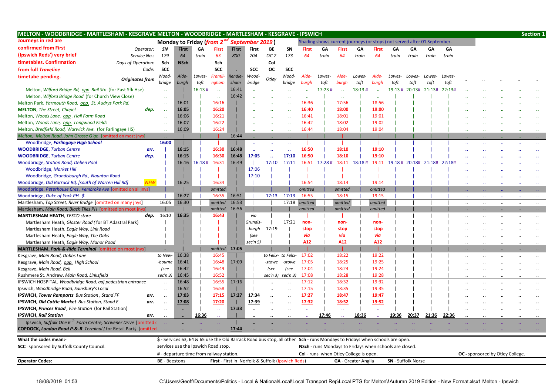| MELTON - WOODBRIDGE - MARTLESHAM - KESGRAVE MELTON - WOODBRIDGE - MARTLESHAM - KESGRAVE - IPSWICH |                        |                      |              |              |                                                        |              |                      |                      |                                                   |                                                                                                                             |                                        |                            |        |                                                         |                           |                |                                                                          |        |                                         |           | Section 1                  |
|---------------------------------------------------------------------------------------------------|------------------------|----------------------|--------------|--------------|--------------------------------------------------------|--------------|----------------------|----------------------|---------------------------------------------------|-----------------------------------------------------------------------------------------------------------------------------|----------------------------------------|----------------------------|--------|---------------------------------------------------------|---------------------------|----------------|--------------------------------------------------------------------------|--------|-----------------------------------------|-----------|----------------------------|
| Journeys in red are                                                                               |                        |                      |              |              | Monday to Friday (from 2 <sup>nd</sup> September 2019) |              |                      |                      |                                                   |                                                                                                                             |                                        |                            |        |                                                         |                           |                | Shading shows current journeys (or stops) not served after 01 September. |        |                                         |           |                            |
| confirmed from First                                                                              | Operator:              | SN                   | <b>First</b> | GA           | <b>First</b>                                           | <b>First</b> | First                | BE                   | SΝ                                                | First                                                                                                                       | GA                                     | First                      | GΑ     | First                                                   | GA                        | GA             | GΑ                                                                       | GΑ     |                                         |           |                            |
| (Ipswich Reds') very brief                                                                        | Service No.:           | 179                  | 64           | train        | 63                                                     | 800          | 70A                  | OC <sub>7</sub>      | 173                                               | 64                                                                                                                          | train                                  | 64                         | train  | 64                                                      | train                     | train          | train                                                                    | train  |                                         |           |                            |
| timetables. Confirmation                                                                          | Days of Operation:     | Sch                  | <b>NSch</b>  |              | Sch                                                    |              |                      | Col                  |                                                   |                                                                                                                             |                                        |                            |        |                                                         |                           |                |                                                                          |        |                                         |           |                            |
| from full Traveline                                                                               | Code:                  | <b>SCC</b>           |              |              | <b>SCC</b>                                             |              | <b>SCC</b>           | <b>OC</b>            | <b>SCC</b>                                        |                                                                                                                             |                                        |                            |        |                                                         |                           |                |                                                                          |        |                                         |           |                            |
| timetabe pending.                                                                                 |                        | Wood-                | Alde-        | Lowes-       | Framli-                                                | Rendle-      | Wood-                |                      | Wood-                                             | Alde-                                                                                                                       | Lowes-                                 | Alde.                      | Lowes- | Alde-                                                   | l nwes-                   | Lowes-         | Lowes-                                                                   | Lowes  |                                         |           |                            |
|                                                                                                   | <b>Originates from</b> | bridge               | burgh        | toft         | ngham                                                  | sham         | bridge               | Otley                | bridge                                            | burah                                                                                                                       | toft                                   | burgh                      | toft   | burgh                                                   | toft                      | toft           | toft                                                                     | toft   |                                         |           |                            |
| Melton, Wilford Bridge Rd, opp Rail Stn (for East Sfk Hse)                                        |                        |                      |              | 16:13#       |                                                        | 16:41        |                      |                      |                                                   |                                                                                                                             | 17:23#                                 |                            | 18:13# |                                                         |                           | 19:13 # 20:13# | 21:13#                                                                   | 22:13# |                                         |           |                            |
| Melton, Wilford Bridge Road (for Church View Close)                                               |                        | $\ddot{\phantom{1}}$ |              |              | $\ddot{\phantom{1}}$                                   | 16:42        |                      |                      |                                                   |                                                                                                                             |                                        |                            |        |                                                         |                           |                |                                                                          |        |                                         |           |                            |
| Melton Park, Yarmouth Road, opp. St. Audrys Park Rd.                                              |                        |                      | 16:01        |              | 16:16                                                  |              |                      |                      |                                                   | 16:36                                                                                                                       |                                        | 17:56                      |        | 18:56                                                   |                           |                |                                                                          |        |                                         |           |                            |
| <b>MELTON, The Street, Chapel</b>                                                                 | dep.                   | $\mathbf{r}$ .       | 16:05        |              | 16:20                                                  |              |                      |                      |                                                   | 16:40                                                                                                                       |                                        | 18:00                      |        | 19:00                                                   |                           |                |                                                                          |        |                                         |           |                            |
| Melton, Woods Lane, opp. Hall Farm Road                                                           |                        |                      | 16:06        |              | 16:21                                                  |              |                      |                      |                                                   | 16:41                                                                                                                       |                                        | 18:01                      |        | 19:01                                                   |                           |                |                                                                          |        |                                         |           |                            |
| Melton, Woods Lane, opp. Longwood Fields                                                          |                        |                      | 16:07        |              | 16:22                                                  |              |                      |                      |                                                   | 16:42                                                                                                                       |                                        | 18:02                      |        | 19:02                                                   |                           |                |                                                                          |        |                                         |           |                            |
| Melton, Bredfield Road, Warwick Ave. (for Farlingaye HS)                                          |                        |                      | 16:09        |              | 16:24                                                  |              |                      |                      |                                                   | 16:44                                                                                                                       |                                        | 18:04                      |        | 19:04                                                   |                           |                |                                                                          |        |                                         |           |                            |
| Melton, Melton Road, John Grosse G'ge [omitted on most jnys]                                      |                        |                      |              |              |                                                        | 16:44        |                      |                      |                                                   |                                                                                                                             |                                        |                            |        |                                                         |                           |                |                                                                          |        |                                         |           |                            |
| Woodbridge, Farlingaye High School                                                                |                        | 16:00                |              |              |                                                        |              | $\ddotsc$            | $\ddotsc$            | $\ddotsc$                                         |                                                                                                                             |                                        |                            |        |                                                         |                           |                |                                                                          |        |                                         |           |                            |
| <b>WOODBRIDGE, Turban Centre</b>                                                                  | arr.                   |                      | 16:15        |              | 16:30                                                  | 16:48        | $\ddot{\phantom{a}}$ | $\ddot{\phantom{a}}$ | $\ddot{\phantom{a}}$                              | 16:50                                                                                                                       |                                        | 18:10                      |        | 19:10                                                   |                           |                |                                                                          |        |                                         |           |                            |
| <b>WOODBRIDGE, Turban Centre</b>                                                                  | dep.                   |                      | 16:15        |              | 16:30                                                  | 16:48        | 17:05                | $\ddot{\phantom{a}}$ | 17:10                                             | 16:50                                                                                                                       |                                        | 18:10                      |        | 19:10                                                   |                           |                |                                                                          |        |                                         |           |                            |
| Woodbridge, Station Road, Deben Pool                                                              |                        |                      |              | 16:16 16:18# | 16:31                                                  | 16:49        |                      | 17:10                | 17:11                                             | 16:51                                                                                                                       | 17:28#                                 | 18:11                      | 18:18# | 19:11                                                   | 19:18#                    | 20:18#         | 21:18#                                                                   | 22:18# |                                         |           |                            |
| Woodbridge, Market Hill                                                                           |                        |                      |              |              |                                                        |              | 17:06                |                      |                                                   |                                                                                                                             |                                        |                            |        |                                                         |                           |                |                                                                          |        |                                         |           |                            |
| Woodbridge, Grundisburgh Rd., Naunton Road                                                        |                        |                      |              |              |                                                        |              | 17:10                |                      |                                                   |                                                                                                                             |                                        |                            |        |                                                         |                           |                |                                                                          |        |                                         |           |                            |
| Woodbridge, Old Barrack Rd, [south of Warren Hill Rd]                                             |                        |                      | 16:25        |              | 16:34                                                  |              |                      |                      |                                                   | 16:54                                                                                                                       |                                        | 18:14                      |        | 19:14                                                   |                           |                |                                                                          |        |                                         |           |                            |
| Woodbridge, Peterhouse Cres, Pembroke Ave [omitted on all jnys]                                   |                        |                      |              |              | omitted                                                |              |                      |                      |                                                   | omitted                                                                                                                     |                                        | omitted                    |        | omitted                                                 |                           |                |                                                                          |        |                                         |           |                            |
| Woodbridge, Duke of York PH \$                                                                    |                        |                      | 16:27        |              | 16:35                                                  | 16:51        |                      | 17:13                | 17:13                                             | 16:55                                                                                                                       |                                        | 18:15                      |        | 19:15                                                   |                           |                |                                                                          |        |                                         |           |                            |
| Martlesham, Top Street, River Bridge [omitted on many jnys]                                       |                        | 16:05                | 16:30        |              | omitted                                                | 16:53        |                      |                      |                                                   | 17:18 omitted                                                                                                               |                                        | omitted                    |        | omitted                                                 |                           |                |                                                                          |        | $\ddotsc$                               | $\ddotsc$ | $\ddotsc$<br>$\cdot \cdot$ |
| Martlesham, Main Road, Black Tiles PH [omitted on most jnys]                                      |                        |                      |              |              | omitted                                                | 16:56        |                      |                      |                                                   | omitted                                                                                                                     |                                        | omitted                    |        | omitted                                                 |                           |                |                                                                          |        |                                         |           |                            |
| <b>MARTLESHAM HEATH, TESCO store</b>                                                              | dep.                   | 16:10                | 16:35        |              | 16:43                                                  |              | via                  |                      |                                                   |                                                                                                                             |                                        |                            |        |                                                         |                           |                |                                                                          |        |                                         |           |                            |
| Martlesham Heath, Gloster Road (for BT Adastral Park)                                             |                        |                      |              |              |                                                        |              | Grundis-             |                      | 17:21                                             | non-                                                                                                                        |                                        | non-                       |        | non-                                                    |                           |                |                                                                          |        |                                         |           |                            |
| Martlesham Heath, Eagle Way, Link Road                                                            |                        |                      |              |              |                                                        |              | -burgh               | 17:19                |                                                   | stop                                                                                                                        |                                        | stop                       |        | stop                                                    |                           |                |                                                                          |        |                                         |           |                            |
| Martlesham Heath, Eagle Way, The Oaks                                                             |                        |                      |              |              |                                                        |              | (see                 |                      |                                                   | via                                                                                                                         |                                        | via                        |        | via                                                     |                           |                |                                                                          |        |                                         |           |                            |
| Martlesham Heath, Eagle Way, Manor Road                                                           |                        |                      |              |              |                                                        |              | sec'n 5)             |                      |                                                   | A12                                                                                                                         |                                        | A12                        |        | A12                                                     |                           |                |                                                                          |        |                                         |           |                            |
| MARTLESHAM, Park-&-Ride Terminal [omitted on most jnys]                                           |                        |                      |              |              | omitted                                                | 17:05        |                      |                      |                                                   |                                                                                                                             |                                        |                            |        |                                                         |                           |                |                                                                          |        |                                         |           |                            |
| Kesgrave, Main Road, Dobbs Lane                                                                   |                        | to New               | 16:38        |              | 16:45                                                  |              |                      | to Felix-            | to Felix-                                         | 17:02                                                                                                                       |                                        | 18:22                      |        | 19:22                                                   |                           |                |                                                                          |        |                                         |           |                            |
| Kesgrave, Main Road, opp. High School                                                             |                        | -bourne              | 16:41        |              | 16:48                                                  | 17:09        |                      | -stowe               | -stowe                                            | 17:05                                                                                                                       |                                        | 18:25                      |        | 19:25                                                   |                           |                |                                                                          |        |                                         |           |                            |
| Kesgrave, Main Road, Bell                                                                         |                        | (see                 | 16:42        |              | 16:49                                                  |              |                      | (see                 | (see                                              | 17:04                                                                                                                       |                                        | 18:24                      |        | 19:24                                                   |                           |                |                                                                          |        |                                         |           |                            |
| Rushmere St. Andrew, Main Road, Linksfield                                                        |                        | sec'n 3)             | 16:45        |              | 16:52                                                  |              |                      | sec'n 3)             | sec'n 3)                                          | 17:08                                                                                                                       |                                        | 18:28                      |        | 19:28                                                   |                           |                |                                                                          |        |                                         |           |                            |
| IPSWICH HOSPITAL, Woodbridge Road, adj pedestrian entrance                                        |                        | $\cdot$              | 16:48        |              | 16:55                                                  | 17:16        |                      |                      |                                                   | 17:12                                                                                                                       |                                        | 18:32                      |        | 19:32                                                   |                           |                |                                                                          |        |                                         |           |                            |
| Ipswich, Woodbridge Road, Sainsbury's Local                                                       |                        | $\ddotsc$            | 16:52        |              | 16:58                                                  |              |                      |                      |                                                   | 17:15                                                                                                                       |                                        | 18:35                      |        | 19:35                                                   |                           |                |                                                                          |        |                                         |           |                            |
| IPSWICH, Tower Ramparts Bus Station, Stand FF                                                     | arr.                   | $\ddotsc$            | 17:03        |              | 17:15                                                  | 17:27        | 17:34                | $\ddot{\phantom{0}}$ |                                                   | 17:27                                                                                                                       |                                        | 18:47                      |        | 19:47                                                   |                           |                |                                                                          |        |                                         |           |                            |
| <b>IPSWICH, Old Cattle Market Bus Station, Stand E</b>                                            | arr.                   | $\ddotsc$            | <u>17:08</u> |              | 17:20                                                  |              | 17:39                | $\ddot{\phantom{0}}$ | $\cdot$                                           | 17:32                                                                                                                       |                                        | 18:52                      |        | 19:52                                                   |                           |                |                                                                          |        |                                         |           |                            |
| IPSWICH, Princes Road, Fire Station (for Rail Station)                                            |                        | $\cdot \cdot$        | $\ddotsc$    |              | $\mathbb{Z}^2$                                         | 17:33        | $\ddot{\phantom{a}}$ | $\ddotsc$            |                                                   | $\ddotsc$                                                                                                                   |                                        | $\mathbf{r}$ .             |        | $\mathcal{L}_{\mathcal{A}}$                             |                           |                |                                                                          |        |                                         |           |                            |
| <b>IPSWICH, Rail Station</b>                                                                      | arr.                   |                      |              | 16:36        | $\ddot{\phantom{1}}$                                   |              |                      |                      |                                                   |                                                                                                                             | 17:46                                  |                            | 18:36  |                                                         | 19:36                     | 20:37          | 21:36                                                                    | 22:36  |                                         |           |                            |
| Ipswich, Suffolk One 6 <sup>th</sup> Form Centre, Scrivener Drive [omitted of                     |                        |                      |              |              |                                                        |              |                      |                      |                                                   |                                                                                                                             |                                        |                            |        |                                                         |                           |                |                                                                          |        |                                         |           |                            |
| COPDOCK, London Road P-&-R Terminal (for Retail Park) [omitted                                    |                        |                      |              |              |                                                        | 17:44        |                      |                      |                                                   |                                                                                                                             |                                        |                            |        |                                                         |                           |                |                                                                          |        |                                         |           |                            |
| What the codes mean:-                                                                             |                        |                      |              |              |                                                        |              |                      |                      |                                                   | \$ - Services 63, 64 & 65 use the Old Barrack Road bus stop, all other Sch - runs Mondays to Fridays when schools are open. |                                        |                            |        |                                                         |                           |                |                                                                          |        |                                         |           |                            |
| SCC - sponsored by Suffolk County Council.                                                        |                        |                      |              |              | services use the Ipswich Road stop.                    |              |                      |                      |                                                   |                                                                                                                             |                                        |                            |        | NSch - runs Mondays to Fridays when schools are closed. |                           |                |                                                                          |        |                                         |           |                            |
|                                                                                                   |                        |                      |              |              | # - departure time from railway station.               |              |                      |                      |                                                   |                                                                                                                             | Col - runs when Otley College is open. |                            |        |                                                         |                           |                |                                                                          |        | <b>OC</b> - sponsored by Otley College. |           |                            |
| <b>Operator Codes:</b>                                                                            |                        | <b>BE</b> - Beestons |              |              |                                                        |              |                      |                      | First - First in Norfolk & Suffolk (Ipswich Reds) |                                                                                                                             |                                        | <b>GA</b> - Greater Anglia |        |                                                         | <b>SN</b> - Suffolk Norse |                |                                                                          |        |                                         |           |                            |
|                                                                                                   |                        |                      |              |              |                                                        |              |                      |                      |                                                   |                                                                                                                             |                                        |                            |        |                                                         |                           |                |                                                                          |        |                                         |           |                            |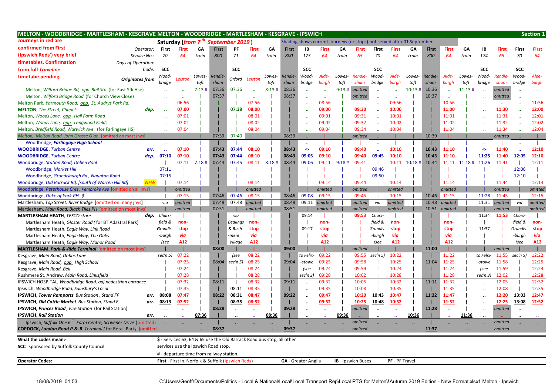| MELTON - WOODBRIDGE - MARTLESHAM - KESGRAVE MELTON - WOODBRIDGE - MARTLESHAM - KESGRAVE - IPSWICH |            |                      |                                          |        |              |                                                                        |              |        |         |                            |              |        |                                                                          |                      |                |        |         |              |        |                  |         |                      | <b>Section 1</b> |
|---------------------------------------------------------------------------------------------------|------------|----------------------|------------------------------------------|--------|--------------|------------------------------------------------------------------------|--------------|--------|---------|----------------------------|--------------|--------|--------------------------------------------------------------------------|----------------------|----------------|--------|---------|--------------|--------|------------------|---------|----------------------|------------------|
| Journeys in red are                                                                               |            |                      | Saturday (from 7 <sup>th</sup>           |        |              | September 2019)                                                        |              |        |         |                            |              |        | Shading shows current journeys (or stops) not served after 01 September. |                      |                |        |         |              |        |                  |         |                      |                  |
| confirmed from First<br>Operator:                                                                 |            | First                | First                                    | GA     | <b>First</b> | PF                                                                     | First        | GA     | First   | IB                         | <b>First</b> | GΑ     | First                                                                    | First                | <b>First</b>   | GА     | First   | <b>First</b> | GΑ     | ΙB               | First   | First                | First            |
| (Ipswich Reds') very brief<br>Service No.:                                                        |            | 70                   | 64                                       | train  | 800          | 71                                                                     | 64           | train  | 800     | 173                        | 64           | train  | 65                                                                       | 70                   | 64             | train  | 800     | 64           | train  | 174              | 65      | 70                   | 64               |
| timetables. Confirmation<br>Days of Operation:                                                    |            |                      |                                          |        |              |                                                                        |              |        |         |                            |              |        |                                                                          |                      |                |        |         |              |        |                  |         |                      |                  |
| from full Traveline                                                                               | Code:      | <b>SCC</b>           |                                          |        |              | <b>SCC</b>                                                             |              |        |         | <b>SCC</b>                 |              |        |                                                                          | <b>SCC</b>           |                |        |         |              |        | <b>SCC</b>       |         | <b>SCC</b>           |                  |
| timetabe pending.                                                                                 |            | Wood-                |                                          | Lowes- | Rendle-      |                                                                        |              | Lowes- | Rendle- | Wood-                      | Alde-        | Lowes- | Rendle-                                                                  | Wood-                | <b>Alde</b>    | Lowes- | Rendle- | Alde-        | Lowes- | Wood-            | Rendle- | Wood-                | Alde-            |
| Originates from                                                                                   |            | bridge               | Leiston                                  | toft   | sham         | Orford                                                                 | Leiston      | toft   | sham    | bridge                     | burgh        | toft   | sham                                                                     | bridge               | burgh          | toft   | sham    | burgh        | toft   | bridge           | sham    | bridge               | burgh            |
| Melton, Wilford Bridge Rd, opp Rail Stn (for East Sfk Hse)                                        |            |                      | ц,                                       | 7:13#  | 07:36        | 07:36                                                                  | $\mathbf{1}$ | 8:13#  | 08:36   | $\ddotsc$                  | $\ddotsc$    | 9:13#  | omitted                                                                  | $\ddot{\phantom{a}}$ | μ.             | 10:13# | 10:36   | Ω.           | 11:13# |                  | omitted |                      |                  |
| Melton, Wilford Bridge Road (for Church View Close)                                               |            | $\ddotsc$            | $\mathbf{1}$                             |        | 07:37        |                                                                        | $\mathbf{1}$ |        | 08:37   | $\ddot{\phantom{a}}$       | $\mathbf{1}$ |        | omitted                                                                  | $\ddotsc$            | $\mathbf{L}$   |        | 10:37   | $\ddotsc$    |        |                  | omitted |                      | $\mathbf{L}$     |
| Melton Park, Yarmouth Road, opp. St. Audrys Park Rd.                                              |            | $\ddotsc$            | 06:56                                    |        |              |                                                                        | 07:56        |        |         | $\ddotsc$                  | 08:56        |        | $\mathcal{L}_{\mathcal{A}}$                                              | $\ddotsc$            | 09:56          |        |         | 10:56        |        |                  | $\sim$  | $\ddot{\phantom{a}}$ | 11:56            |
| <b>MELTON, The Street, Chapel</b>                                                                 | dep.       | $\ddot{\phantom{1}}$ | 07:00                                    |        |              | 07:38                                                                  | 08:00        |        |         |                            | 09:00        |        | 09:30                                                                    | $\ddot{\phantom{a}}$ | 10:00          |        |         | 11:00        |        |                  | 11:30   | $\sim$               | 12:00            |
| Melton, Woods Lane, opp. Hall Farm Road                                                           |            | $\ddotsc$            | 07:01                                    |        |              |                                                                        | 08:01        |        |         | $\ddot{\phantom{a}}$       | 09:01        |        | 09:31                                                                    |                      | 10:01          |        |         | 11:01        |        |                  | 11:31   |                      | 12:01            |
| Melton, Woods Lane, opp. Longwood Fields                                                          |            |                      | 07:02                                    |        |              |                                                                        | 08:02        |        |         | $\ddot{\phantom{a}}$       | 09:02        |        | 09:32                                                                    |                      | 10:02          |        |         | 11:02        |        |                  | 11:32   |                      | 12:02            |
| Melton, Bredfield Road, Warwick Ave. (for Farlingaye HS)                                          |            |                      | 07:04                                    |        |              |                                                                        | 08:04        |        |         |                            | 09:04        |        | 09:34                                                                    |                      | 10:04          |        |         | 11:04        |        |                  | 11:34   |                      | 12:04            |
| Melton, Melton Road, John Grosse G'ge [omitted on most jnys]                                      |            |                      |                                          |        | 07:39        | 07:40                                                                  |              |        | 08:39   |                            |              |        | omitted                                                                  |                      |                |        | 10:39   |              |        |                  | omitted |                      |                  |
| Woodbridge, Farlingaye High School                                                                |            | $\mathbb{Z}^2$       |                                          |        |              |                                                                        |              |        |         | $\ddotsc$                  |              |        |                                                                          | $\ddot{\phantom{a}}$ |                |        |         |              |        |                  |         |                      |                  |
| <b>WOODBRIDGE, Turban Centre</b>                                                                  | arr.       | $\mathbf{r}$ .       | 07:10                                    |        | 07:43        | 07:44                                                                  | 08:10        |        | 08:43   | $\leftarrow$               | 09:10        |        | 09:40                                                                    |                      | 10:10          |        | 10:43   | 11:10        |        | <-               | 11:40   |                      | 12:10            |
| <b>WOODBRIDGE, Turban Centre</b>                                                                  | dep.       | 07:10                | 07:10                                    |        | 07:43        | 07:44                                                                  | 08:10        |        | 08:43   | 09:05                      | 09:10        |        | 09:40                                                                    | 09:45                | 10:10          |        | 10:43   | 11:10        |        | 11:25            | 11:40   | 12:05                | 12:10            |
| Woodbridge, Station Road, Deben Pool                                                              |            |                      | 07:11                                    | 7:18#  | 07:44        | 07:45                                                                  | 08:11        | 8:18#  | 08:44   | 09:06                      | 09:11        | 9:18#  | 09:41                                                                    |                      | 10:11          | 10:18# | 10:44   | 11:11        | 11:18# | 11:26            | 11:41   |                      | 12:11            |
| Woodbridge, Market Hill                                                                           |            | 07:11                |                                          |        |              |                                                                        |              |        |         |                            |              |        |                                                                          | 09:46                |                |        |         |              |        |                  |         | 12:06                |                  |
| Woodbridge, Grundisburgh Rd., Naunton Road                                                        |            | 07:15                |                                          |        |              |                                                                        |              |        |         |                            |              |        |                                                                          | 09:50                |                |        |         |              |        |                  |         | 12:10                |                  |
| Woodbridge, Old Barrack Rd, [south of Warren Hill Rd]                                             | <b>NEW</b> |                      | 07:14                                    |        |              |                                                                        | 08:14        |        |         |                            | 09:14        |        | 09:44                                                                    |                      | 10:14          |        |         | 11:14        |        |                  | 11:44   |                      | 12:14            |
| Woodbridge, Peterhouse Cres, Pembroke Ave [omitted on all jnys]                                   |            |                      | omitted                                  |        |              |                                                                        | omitted      |        |         |                            | omitted      |        | omitted                                                                  |                      | omitted        |        |         | omitted      |        |                  | omitted |                      | omitted          |
| Woodbridge, Duke of York PH \$                                                                    |            |                      | 07:15                                    |        | 07:46        | 07:46                                                                  | 08:15        |        | 08:46   | 09:08                      | 09:15        |        | 09:45                                                                    |                      | 10:15          |        | 10:46   | 11:15        |        | 11:28            | 11:45   |                      | 12:15            |
| Martlesham, Top Street, River Bridge [omitted on many jnys]                                       |            | via                  | omitted                                  |        | 07:48        | 07:48                                                                  | omitted      |        | 08:48   | 09:11                      | omitted      |        | omitted                                                                  | via                  | omitted        |        | 10:48   | omitted      |        | 11:31            | omitted | via                  | omitted          |
| Martlesham, Main Road, Black Tiles PH [omitted on most jnys]                                      |            |                      | omitted                                  |        | 07:51        |                                                                        | omitted      |        | 08:51   |                            | omitted      |        | omitted                                                                  |                      | omitted        |        | 10:51   | omitted      |        |                  | omitted |                      | omitted          |
| <b>MARTLESHAM HEATH, TESCO store</b>                                                              | dep.       | Chars-               |                                          |        |              | via                                                                    |              |        |         | 09:14                      |              |        | 09:53                                                                    | Chars-               |                |        |         |              |        | 11:34            | 11:53   | Chars-               |                  |
| Martlesham Heath, Gloster Road (for BT Adastral Park)                                             |            | field &              | non-                                     |        |              | <b>Bealings</b>                                                        | non-         |        |         |                            | non-         |        |                                                                          | field &              | non-           |        |         | non-         |        |                  |         | field &              | non-             |
| Martlesham Heath, Eagle Way, Link Road                                                            |            | Grundis-             | stop                                     |        |              | & Rush-                                                                | stop         |        |         | 09:17                      | stop         |        |                                                                          | Grundis-             | stop           |        |         | stop         |        | 11:37            |         | Grundis-             | stop             |
| Martlesham Heath, Eagle Way, The Oaks                                                             |            | -burgh               | via                                      |        |              | -mere                                                                  | via          |        |         |                            | via          |        |                                                                          | -burgh               | via            |        |         | via          |        |                  |         | -burgh               | via              |
| Martlesham Heath, Eagle Way, Manor Road                                                           |            | (see                 | A12                                      |        |              | Village                                                                | A12          |        |         |                            | A12          |        |                                                                          | (see                 | A12            |        |         | A12          |        |                  |         | (see                 | A12              |
| MARTLESHAM, Park-&-Ride Terminal [omitted on most jnys]                                           |            |                      |                                          |        | 08:00        |                                                                        |              |        | 09:00   |                            |              |        | omitted                                                                  |                      |                |        | 11:00   |              |        |                  | omitted |                      |                  |
| Kesgrave, Main Road, Dobbs Lane                                                                   |            | sec'n 5)             | 07:22                                    |        |              | (see                                                                   | 08:22        |        |         | to Felix-                  | 09:22        |        | 09:55                                                                    | sec'n 5)             | 10:22          |        |         | 11:22        |        | to Felix-        | 11:55   | sec'n 5              | 12:22            |
| Kesgrave, Main Road, opp. High School                                                             |            |                      | 07:25                                    |        | 08:04        | sec'n 5)                                                               | 08:25        |        | 09:04   | -stowe                     | 09:25        |        | 09:58                                                                    |                      | 10:25          |        | 11:04   | 11:25        |        | -stowe           | 11:58   |                      | 12:25            |
| Kesgrave, Main Road, Bell                                                                         |            |                      | 07:24                                    |        |              |                                                                        | 08:24        |        |         |                            | 09:24        |        | 09:59                                                                    |                      | 10:24          |        |         | 11:24        |        |                  | 11:59   |                      | 12:24            |
|                                                                                                   |            |                      | 07:28                                    |        |              |                                                                        | 08:28        |        |         | (see                       | 09:28        |        | 10:02                                                                    |                      | 10:28          |        |         | 11:28        |        | (see<br>sec'n 3) | 12:02   |                      | 12:28            |
| Rushmere St. Andrew, Main Road, Linksfield                                                        |            |                      | 07:32                                    |        | 08:11        |                                                                        | 08:32        |        | 09:11   | $sec'n$ 3)                 | 09:32        |        | 10:05                                                                    |                      | 10:32          |        | 11:11   | 11:32        |        |                  | 12:05   |                      | 12:32            |
| IPSWICH HOSPITAL, Woodbridge Road, adj pedestrian entrance                                        |            |                      | 07:35                                    |        |              | 08:11                                                                  | 08:35        |        |         |                            | 09:35        |        | 10:08                                                                    |                      | 10:35          |        |         | 11:35        |        |                  | 12:08   |                      | 12:35            |
| Ipswich, Woodbridge Road, Sainsbury's Local                                                       |            |                      | 07:47                                    |        | 08:22        |                                                                        | 08:47        |        | 09:22   |                            | 09:47        |        | 10:20                                                                    |                      | 10:47          |        | 11:22   | 11:47        |        |                  | 12:20   | 13:03                | 12:47            |
| IPSWICH, Tower Ramparts Bus Station, Stand FF                                                     | arr.       | 08:08                |                                          |        |              | 08:31                                                                  |              |        |         | $\ddot{\phantom{0}}$       |              |        |                                                                          | 10:43                |                |        |         |              |        |                  |         |                      |                  |
| <b>IPSWICH, Old Cattle Market Bus Station, Stand E</b>                                            | arr.       | 08:13                | 07:52                                    |        |              | 08:35                                                                  | 08:52        |        |         |                            | 09:52        |        | 10:25                                                                    | 10:48                | 10:52          |        |         | 11:52        |        |                  | 12:25   | 13:08                | 12:52            |
| IPSWICH, Princes Road, Fire Station (for Rail Station)                                            |            |                      | ä,                                       |        | 08:28        | $\cdot$                                                                | ÷.           |        | 09:28   | $\ddot{\phantom{0}}$       | $\sim$       |        | omitted                                                                  |                      |                |        | 11:28   |              |        |                  | omitted |                      | $\ddotsc$        |
| <b>IPSWICH, Rail Station</b>                                                                      | arr.       | $\ddot{\phantom{a}}$ | $\ddotsc$                                | 07:36  |              |                                                                        | $\ddotsc$    | 08:36  |         |                            | $\ddotsc$    | 09:36  |                                                                          |                      |                | 10:36  |         |              | 11:36  |                  |         |                      |                  |
| Ipswich, Suffolk One 6 <sup>th</sup> Form Centre, Scrivener Drive [omitted of                     |            |                      |                                          |        |              |                                                                        |              |        |         |                            |              |        | omitted                                                                  |                      |                |        |         |              |        |                  | omitted |                      |                  |
| <b>COPDOCK, London Road P-&amp;-R</b> Terminal (for Retail Park) [omitted]                        |            |                      |                                          |        | 08:37        |                                                                        |              |        | 09:37   |                            |              |        | omitted                                                                  |                      |                |        | 11:37   |              |        |                  | omitted |                      |                  |
| What the codes mean:-                                                                             |            |                      |                                          |        |              | \$ - Services 63, 64 & 65 use the Old Barrack Road bus stop, all other |              |        |         |                            |              |        |                                                                          |                      |                |        |         |              |        |                  |         |                      |                  |
| <b>SCC</b> - sponsored by Suffolk County Council.                                                 |            |                      | services use the Ipswich Road stop.      |        |              |                                                                        |              |        |         |                            |              |        |                                                                          |                      |                |        |         |              |        |                  |         |                      |                  |
|                                                                                                   |            |                      | # - departure time from railway station. |        |              |                                                                        |              |        |         |                            |              |        |                                                                          |                      |                |        |         |              |        |                  |         |                      |                  |
|                                                                                                   |            |                      |                                          |        |              |                                                                        |              |        |         |                            |              |        |                                                                          |                      |                |        |         |              |        |                  |         |                      |                  |
| <b>Operator Codes:</b>                                                                            |            |                      |                                          |        |              | First - First in Norfolk & Suffolk (Ipswich Reds)                      |              |        |         | <b>GA</b> - Greater Anglia |              |        | <b>IB</b> - Ipswich Buses                                                |                      | PF - PF Travel |        |         |              |        |                  |         |                      |                  |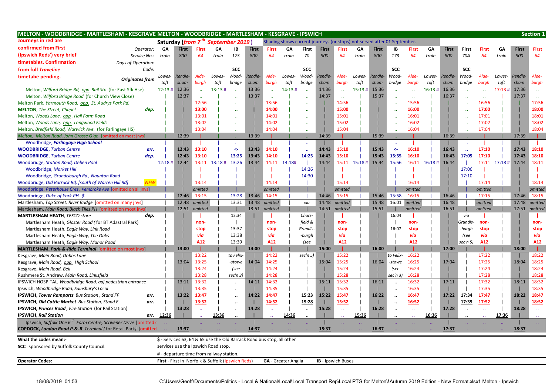| MELTON - WOODBRIDGE - MARTLESHAM - KESGRAVE MELTON - WOODBRIDGE - MARTLESHAM - KESGRAVE - IPSWICH                                                         |                        |            |              |                      |                                                                        |                      |         |                            |        |                      |         |                                                                          |        |         |                      |           |        |         |                      |                      |        |              | <b>Section 1</b> |
|-----------------------------------------------------------------------------------------------------------------------------------------------------------|------------------------|------------|--------------|----------------------|------------------------------------------------------------------------|----------------------|---------|----------------------------|--------|----------------------|---------|--------------------------------------------------------------------------|--------|---------|----------------------|-----------|--------|---------|----------------------|----------------------|--------|--------------|------------------|
| Journeys in red are                                                                                                                                       |                        |            |              |                      | Saturday (from 7 <sup>th</sup> September 2019)                         |                      |         |                            |        |                      |         | Shading shows current journeys (or stops) not served after 01 September. |        |         |                      |           |        |         |                      |                      |        |              |                  |
| confirmed from First                                                                                                                                      | Operator:              | GA         | <b>First</b> | First                | GΑ                                                                     | IB                   | First   | First                      | GA     | First                | First   | First                                                                    | GΑ     | First   | IB                   | First     | GΑ     | First   | First                | First                | GΑ     | <b>First</b> | First            |
| (Ipswich Reds') very brief                                                                                                                                | Service No.:           | train      | 800          | 64                   | train                                                                  | 173                  | 800     | 64                         | train  | 70                   | 800     | 64                                                                       | train  | 800     | 173                  | 64        | train  | 800     | 70A                  | 64                   | train  | 800          | 64               |
| timetables. Confirmation                                                                                                                                  | Days of Operation:     |            |              |                      |                                                                        |                      |         |                            |        |                      |         |                                                                          |        |         |                      |           |        |         |                      |                      |        |              |                  |
| from full Traveline                                                                                                                                       | Code:                  |            |              |                      |                                                                        | <b>SCC</b>           |         |                            |        | <b>SCC</b>           |         |                                                                          |        |         | <b>SCC</b>           |           |        |         | <b>SCC</b>           |                      |        |              |                  |
| timetabe pending                                                                                                                                          | <b>Originates from</b> | Lowes-     | Rendle-      | Alde-                | Lowes-                                                                 | Wood-                | Rendle- | Alde-                      | Lowes- | Wood-                | Rendle- | Alde-                                                                    | Lowes- | Rendle- | Wood-                | Alde-     | Lowes- | Rendle- | Wood-                | Alde-                | Lowes- | Rendle-      | Alde-            |
|                                                                                                                                                           |                        | toft       | sham         | burgh                | toft                                                                   | bridge               | sham    | burgh                      | toft   | bridge               | sham    | burgh                                                                    | toft   | sham    | bridge               | burgh     | toft   | sham    | bridge               | burgh                | toft   | sham         | burgh            |
| Melton, Wilford Bridge Rd, opp Rail Stn (for East Sfk Hse)                                                                                                |                        | 12:13#     | 12:36        | $\ddotsc$            | 13:13#                                                                 | $\ddotsc$            | 13:36   | $\ddotsc$                  | 14:13# | $\ddotsc$            | 14:36   | $\ddot{\phantom{1}}$                                                     | 15:13# | 15:36   |                      | $\ddotsc$ | 16:13# | 16:36   |                      | $\ddotsc$            | 17:13# | 17:36        | $\ddotsc$        |
| Melton, Wilford Bridge Road (for Church View Close)                                                                                                       |                        |            | 12:37        | $\ddot{\phantom{a}}$ |                                                                        | $\ddotsc$            | 13:37   | $\ddotsc$                  |        | $\ddotsc$            | 14:37   | $\ddot{\phantom{a}}$                                                     |        | 15:37   |                      |           |        | 16:37   |                      |                      |        | 17:37        | $\ddotsc$        |
| Melton Park, Yarmouth Road, opp. St. Audrys Park Rd.                                                                                                      |                        |            |              | 12:56                |                                                                        |                      |         | 13:56                      |        | $\ddotsc$            |         | 14:56                                                                    |        |         |                      | 15:56     |        |         |                      | 16:56                |        |              | 17:56            |
| <b>MELTON, The Street, Chapel</b>                                                                                                                         | dep.                   |            |              | 13:00                |                                                                        | $\ddot{\phantom{1}}$ |         | 14:00                      |        |                      |         | 15:00                                                                    |        |         |                      | 16:00     |        |         |                      | 17:00                |        |              | 18:00            |
| Melton, Woods Lane, opp. Hall Farm Road                                                                                                                   |                        |            |              | 13:01                |                                                                        |                      |         | 14:01                      |        |                      |         | 15:01                                                                    |        |         |                      | 16:01     |        |         |                      | 17:01                |        |              | 18:01            |
| Melton, Woods Lane, opp. Longwood Fields                                                                                                                  |                        |            |              | 13:02                |                                                                        |                      |         | 14:02                      |        |                      |         | 15:02                                                                    |        |         |                      | 16:02     |        |         |                      | 17:02                |        |              | 18:02            |
| Melton, Bredfield Road, Warwick Ave. (for Farlingaye HS)                                                                                                  |                        |            |              | 13:04                |                                                                        |                      |         | 14:04                      |        |                      |         | 15:04                                                                    |        |         |                      | 16:04     |        |         |                      | 17:04                |        |              | 18:04            |
| Melton, Melton Road, John Grosse G'ge [omitted on most jnys]                                                                                              |                        |            | 12:39        |                      |                                                                        |                      | 13:39   |                            |        |                      | 14:39   |                                                                          |        | 15:39   |                      |           |        | 16:39   |                      |                      |        | 17:39        | $\mathbf{1}$     |
| Woodbridge, Farlingaye High School                                                                                                                        |                        |            |              |                      |                                                                        | $\ddotsc$            |         |                            |        | x.                   |         |                                                                          |        |         |                      |           |        |         |                      |                      |        |              |                  |
| <b>WOODBRIDGE, Turban Centre</b>                                                                                                                          | arr.                   |            | 12:43        | 13:10                |                                                                        | 4                    | 13:43   | 14:10                      |        | $\ddotsc$            | 14:43   | 15:10                                                                    |        | 15:43   | $\leftarrow$         | 16:10     |        | 16:43   | $\ddot{\phantom{a}}$ | 17:10                |        | 17:43        | 18:10            |
| <b>WOODBRIDGE, Turban Centre</b>                                                                                                                          | dep.                   |            | 12:43        | 13:10                |                                                                        | 13:25                | 13:43   | 14:10                      |        | 14:25                | 14:43   | 15:10                                                                    |        | 15:43   | 15:55                | 16:10     |        | 16:43   | 17:05                | 17:10                |        | 17:43        | 18:10            |
| <b>Woodbridge, Station Road, Deben Pool</b>                                                                                                               |                        | 12:18#     | 12:44        | 13:11                | 13:18#                                                                 | 13:26                | 13:44   | 14:11                      | 14:18# |                      | 14:44   | 15:11                                                                    | 15:18# | 15:44   | 15:56                | 16:11     | 16:18# | 16:44   |                      | 17:11                | 17:18# | 17:44        | 18:11            |
| Woodbridge, Market Hill                                                                                                                                   |                        |            |              |                      |                                                                        |                      |         |                            |        | 14:26                |         |                                                                          |        |         |                      |           |        |         | 17:06                |                      |        |              |                  |
| Woodbridge, Grundisburgh Rd., Naunton Road                                                                                                                |                        |            |              |                      |                                                                        |                      |         |                            |        | 14:30                |         |                                                                          |        |         |                      |           |        |         | 17:10                |                      |        |              |                  |
| Woodbridge, Old Barrack Rd, [south of Warren Hill Rd]                                                                                                     | <b>NEV</b>             |            |              | 13:14                |                                                                        |                      |         | 14:14                      |        |                      |         | 15:14                                                                    |        |         |                      | 16:14     |        |         |                      | 17:14                |        |              | 18:14            |
| Woodbridge, Peterhouse Cres, Pembroke Ave [omitted on all jnys]                                                                                           |                        |            |              | omitted              |                                                                        |                      |         | omitted                    |        |                      |         | omitted                                                                  |        |         |                      | omitted   |        |         |                      | omitted              |        |              | omitted          |
| Woodbridge, Duke of York PH \$                                                                                                                            |                        |            | 12:46        | 13:15                |                                                                        | 13:28                | 13:46   | 14:15                      |        |                      | 14:46   | 15:15                                                                    |        | 15:46   | 15:58                | 16:15     |        | 16:46   |                      | 17:15                |        | 17:46        | 18:15            |
| Martlesham, Top Street, River Bridge [omitted on many jnys]                                                                                               |                        |            | 12:48        | omitted              |                                                                        | 13:31                | 13:48   | omitted                    |        | via                  | 14:48   | omitted                                                                  |        | 15:48   | 16:01                | omitted   |        | 16:48   |                      | omitted              |        | 17:48        | omitted          |
| Martlesham, Main Road, Black Tiles PH [omitted on most jnys]                                                                                              |                        |            | 12:51        | omitted              |                                                                        |                      |         | 13:51 omitted              |        |                      |         | 14:51 omitted                                                            |        | 15:51   |                      | omitted   |        | 16:51   |                      | omitted              |        | 17:51        | omitted          |
| <b>MARTLESHAM HEATH, TESCO store</b>                                                                                                                      | dep.                   |            |              |                      |                                                                        | 13:34                |         |                            |        | Chars-               |         |                                                                          |        |         | 16:04                |           |        |         | via                  |                      |        |              |                  |
| Martlesham Heath, Gloster Road (for BT Adastral Park)                                                                                                     |                        |            |              | non-                 |                                                                        |                      |         | non-                       |        | field &              |         | non-                                                                     |        |         |                      | non-      |        |         | Grundis-             | non-                 |        |              | non-             |
| Martlesham Heath, Eagle Way, Link Road                                                                                                                    |                        |            |              | stop                 |                                                                        | 13:37                |         | stop                       |        | Grundis-             |         | stop                                                                     |        |         | 16:07                | stop      |        |         | -burgh               | stop                 |        |              | stop             |
| Martlesham Heath, Eagle Way, The Oaks                                                                                                                     |                        |            |              | via                  |                                                                        | 13:38                |         | via                        |        | -burgh               |         | via                                                                      |        |         |                      | via       |        |         | (see                 | via                  |        |              | via              |
| Martlesham Heath, Eagle Way, Manor Road                                                                                                                   |                        |            |              | A12                  |                                                                        | 13:39                |         | A12                        |        | (see                 |         | A12                                                                      |        |         |                      | A12       |        |         | sec'n 5)             | A12                  |        |              | A12              |
| MARTLESHAM, Park-&-Ride Terminal [omitted on most jnys                                                                                                    |                        |            | 13:00        |                      |                                                                        |                      | 14:00   |                            |        |                      | 15:00   |                                                                          |        | 16:00   |                      |           |        | 17:00   |                      |                      |        | 18:00        | л.               |
| Kesgrave, Main Road, Dobbs Lane                                                                                                                           |                        |            |              | 13:22                |                                                                        | to Felix             |         | 14:22                      |        | sec'n 5)             |         | 15:22                                                                    |        |         | to Felix-            | 16:22     |        |         |                      | 17:22                |        |              | 18:22            |
| Kesgrave, Main Road, opp. High School                                                                                                                     |                        |            | 13:04        | 13:25                |                                                                        | -stowe               | 14:04   | 14:25                      |        |                      | 15:04   | 15:25                                                                    |        | 16:04   | -stowe               | 16:25     |        | 17:04   |                      | 17:25                |        | 18:04        | 18:25            |
| Kesgrave, Main Road, Bell                                                                                                                                 |                        |            |              | 13:24                |                                                                        | (see                 |         | 14:24                      |        |                      |         | 15:24                                                                    |        |         | (see                 | 16:24     |        |         |                      | 17:24                |        |              | 18:24            |
| Rushmere St. Andrew, Main Road, Linksfield                                                                                                                |                        |            |              | 13:28                |                                                                        | sec'n 3)             |         | 14:28                      |        |                      |         | 15:28                                                                    |        |         | sec'n 3)             | 16:28     |        |         |                      | 17:28                |        |              | 18:28            |
| IPSWICH HOSPITAL, Woodbridge Road, adj pedestrian entrance                                                                                                |                        |            | 13:11        | 13:32                |                                                                        | $\ddotsc$            | 14:11   | 14:32                      |        |                      | 15:11   | 15:32                                                                    |        | 16:11   | $\ddot{\phantom{a}}$ | 16:32     |        | 17:11   |                      | 17:32                |        | 18:11        | 18:32            |
| Ipswich, Woodbridge Road, Sainsbury's Local                                                                                                               |                        |            |              | 13:35                |                                                                        | $\cdot \cdot$        |         | 14:35                      |        |                      |         | 15:35                                                                    |        |         |                      | 16:35     |        |         |                      | 17:35                |        |              | 18:35            |
| IPSWICH, Tower Ramparts Bus Station, Stand FF                                                                                                             | arr.                   |            | 13:22        | 13:47                |                                                                        | $\ddot{\phantom{a}}$ | 14:22   | 14:47                      |        | 15:23                | 15:22   | 15:47                                                                    |        | 16:22   |                      | 16:47     |        | 17:22   | 17:34                | 17:47                |        | 18:22        | 18:47            |
| <b>IPSWICH, Old Cattle Market Bus Station, Stand E</b>                                                                                                    | arr.                   |            |              | 13:52                |                                                                        | $\ddot{\phantom{a}}$ |         | 14:52                      |        | 15:28                |         | 15:52                                                                    |        |         |                      | 16:52     |        |         | 17:39                | 17:52                |        |              | 18:52            |
| <b>IPSWICH, Princes Road</b> , Fire Station (for Rail Station)                                                                                            |                        |            | 13:28        | à,                   |                                                                        | $\ldots$             | 14:28   | $\ddot{\phantom{1}}$       |        | $\ddotsc$            | 15:28   | $\mathcal{L}(\mathcal{L})$                                               |        | 16:28   |                      |           |        | 17:28   |                      | ä,                   |        | 18:28        | $\mathcal{A}$    |
| <b>IPSWICH, Rail Station</b>                                                                                                                              |                        | arr. 12:36 |              | $\ddot{\phantom{a}}$ | 13:36                                                                  | $\cdot \cdot$        |         | $\ddot{\phantom{a}}$       | 14:36  | $\ddot{\phantom{a}}$ |         | $\ddotsc$                                                                | 15:36  |         |                      |           | 16:36  |         | $\ddot{\phantom{a}}$ | $\ddot{\phantom{a}}$ | 17:36  |              |                  |
| Ipswich, Suffolk One 6 <sup>th</sup> Form Centre, Scrivener Drive [omitted a<br><b>COPDOCK, London Road P-&amp;-R</b> Terminal (for Retail Park) [omitted |                        |            | 13:37        |                      |                                                                        |                      | 14:37   |                            |        |                      | 15:37   |                                                                          |        | 16:37   |                      |           |        | 17:37   |                      |                      |        | 18:37        |                  |
|                                                                                                                                                           |                        |            |              |                      |                                                                        |                      |         |                            |        |                      |         |                                                                          |        |         |                      |           |        |         |                      |                      |        |              |                  |
| What the codes mean:-                                                                                                                                     |                        |            |              |                      | \$ - Services 63, 64 & 65 use the Old Barrack Road bus stop, all other |                      |         |                            |        |                      |         |                                                                          |        |         |                      |           |        |         |                      |                      |        |              |                  |
| <b>SCC</b> - sponsored by Suffolk County Council.                                                                                                         |                        |            |              |                      | services use the Ipswich Road stop.                                    |                      |         |                            |        |                      |         |                                                                          |        |         |                      |           |        |         |                      |                      |        |              |                  |
|                                                                                                                                                           |                        |            |              |                      | # - departure time from railway station.                               |                      |         |                            |        |                      |         |                                                                          |        |         |                      |           |        |         |                      |                      |        |              |                  |
| <b>Operator Codes:</b>                                                                                                                                    |                        |            |              |                      | First - First in Norfolk & Suffolk (Ipswich Reds)                      |                      |         | <b>GA</b> - Greater Anglia |        |                      |         | <b>IB</b> - Ipswich Buses                                                |        |         |                      |           |        |         |                      |                      |        |              |                  |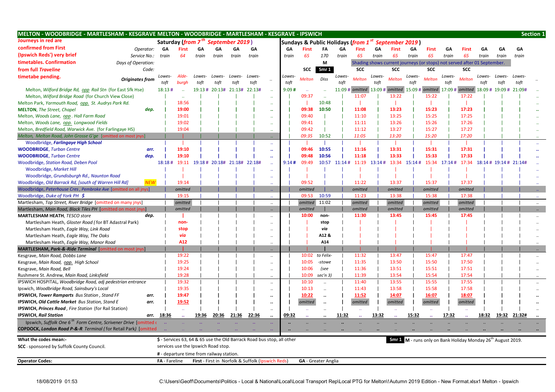| MELTON - WOODBRIDGE - MARTLESHAM - KESGRAVE MELTON - WOODBRIDGE - MARTLESHAM - KESGRAVE - IPSWICH |                        |               |                                          |        |        |                                                        |                                                                        |                      |        |                     |                      |        |                                                                          |        |                                                                          |        |                                                                          |        |                                |        |        |        | <b>Section 1</b> |
|---------------------------------------------------------------------------------------------------|------------------------|---------------|------------------------------------------|--------|--------|--------------------------------------------------------|------------------------------------------------------------------------|----------------------|--------|---------------------|----------------------|--------|--------------------------------------------------------------------------|--------|--------------------------------------------------------------------------|--------|--------------------------------------------------------------------------|--------|--------------------------------|--------|--------|--------|------------------|
| Journeys in red are                                                                               |                        |               |                                          |        |        | Saturday ( <i>from</i> 7 <sup>th</sup> September 2019) |                                                                        |                      |        |                     |                      |        | Sundays & Public Holidays ( <i>from 1 <sup>st</sup> September 2019</i> ) |        |                                                                          |        |                                                                          |        |                                |        |        |        |                  |
| confirmed from First                                                                              | Operator:              | GA            | <b>First</b>                             | GA     | GA     | <b>GA</b>                                              | GA                                                                     |                      | GA     | First               | FA                   | GA     | First                                                                    | GA     | First                                                                    | GA     | First                                                                    | GA     | First                          | GΑ     | GΑ     | GA     |                  |
| (Ipswich Reds') very brief                                                                        | Service No.:           | train         | 64                                       | train  | train  | train                                                  | train                                                                  |                      | train  | 65                  | 170                  | train  | 65                                                                       | train  | 65                                                                       | train  | 65                                                                       | train  | 65                             | train  | train  | train  |                  |
| timetables. Confirmation                                                                          | Days of Operation:     |               |                                          |        |        |                                                        |                                                                        |                      |        |                     | M                    |        |                                                                          |        | Shading shows current journeys (or stops) not served after 01 September. |        |                                                                          |        |                                |        |        |        |                  |
| from full Traveline                                                                               | Code:                  |               |                                          |        |        |                                                        |                                                                        |                      |        | <b>SCC</b>          | Smr 1                |        | SCC                                                                      |        | <b>SCC</b>                                                               |        | <b>SCC</b>                                                               |        | <b>SCC</b>                     |        |        |        |                  |
| timetabe pending.                                                                                 |                        | Lowes-        | Alde-                                    | Lowes- | Lowes- | Lowes-                                                 | Lowes-                                                                 |                      | Lowes- |                     |                      | Lowes- |                                                                          | Lowes- |                                                                          | Lowes- |                                                                          | Lowes- |                                | Lowes- | Lowes- | Lowes  |                  |
|                                                                                                   | <b>Originates from</b> | toft          | burgh                                    | toft   | toft   | toft                                                   | toft                                                                   |                      | toft   | <b>Melton</b>       | Diss                 | toft   | <b>Melton</b>                                                            | toft   | <b>Melton</b>                                                            | toft   | <b>Melton</b>                                                            | toft   | <b>Melton</b>                  | toft   | toft   | toft   |                  |
| Melton, Wilford Bridge Rd, opp Rail Stn (for East Sfk Hse)                                        |                        | 18:13#        |                                          | 19:13# |        | 20:13# 21:13#                                          | 22:13#                                                                 |                      | 9:09#  |                     |                      | 11:09# | omitted 13:09 #                                                          |        | omitted 15:09 #                                                          |        | omitted 17:09#                                                           |        | omitted 18:09 # 19:09 # 21:09# |        |        |        |                  |
| Melton, Wilford Bridge Road (for Church View Close)                                               |                        |               |                                          |        |        |                                                        |                                                                        |                      |        | 09:37               |                      |        | 11:07                                                                    |        | 13:22                                                                    |        | 15:22                                                                    |        | 17:22                          |        |        |        |                  |
| Melton Park, Yarmouth Road, opp. St. Audrys Park Rd.                                              |                        |               | 18:56                                    |        |        |                                                        |                                                                        |                      |        |                     | 10:48                |        |                                                                          |        |                                                                          |        |                                                                          |        |                                |        |        |        |                  |
| <b>MELTON, The Street, Chapel</b>                                                                 | dep.                   |               | 19:00                                    |        |        |                                                        |                                                                        |                      |        | 09:38               | 10:50                |        | 11:08                                                                    |        | 13:23                                                                    |        | 15:23                                                                    |        | 17:23                          |        |        |        |                  |
| Melton, Woods Lane, opp. Hall Farm Road                                                           |                        |               | 19:01                                    |        |        |                                                        |                                                                        |                      |        | 09:40               |                      |        | 11:10                                                                    |        | 13:25                                                                    |        | 15:25                                                                    |        | 17:25                          |        |        |        |                  |
| Melton, Woods Lane, opp. Longwood Fields                                                          |                        |               | 19:02                                    |        |        |                                                        |                                                                        |                      |        | 09:41               |                      |        | 11:11                                                                    |        | 13:26                                                                    |        | 15:26                                                                    |        | 17:26                          |        |        |        |                  |
| Melton, Bredfield Road, Warwick Ave. (for Farlingaye HS)                                          |                        |               | 19:04                                    |        |        |                                                        |                                                                        |                      |        | 09:42               |                      |        | 11:12                                                                    |        | 13:27                                                                    |        | 15:27                                                                    |        | 17:27                          |        |        |        |                  |
| Melton, Melton Road, John Grosse G'ge [omitted on most jnys]                                      |                        |               |                                          |        |        |                                                        |                                                                        |                      |        | 09:35               | 10:52                |        | 11:05                                                                    |        | 13:20                                                                    |        | 15:20                                                                    |        | 17:20                          |        |        |        |                  |
| Woodbridge, Farlingaye High School                                                                |                        |               |                                          |        |        |                                                        |                                                                        |                      |        |                     |                      |        |                                                                          |        |                                                                          |        |                                                                          |        |                                |        |        |        |                  |
| <b>WOODBRIDGE, Turban Centre</b>                                                                  | arr.                   |               | 19:10                                    |        |        |                                                        |                                                                        |                      |        | 09:46               | 10:55                |        | 11:16                                                                    |        | 13:31                                                                    |        | 15:31                                                                    |        | 17:31                          |        |        |        |                  |
| <b>WOODBRIDGE, Turban Centre</b>                                                                  | dep.                   |               | 19:10                                    |        |        |                                                        |                                                                        |                      |        | 09:48               | 10:56                |        | 11:18                                                                    |        | 13:33                                                                    |        | 15:33                                                                    |        | 17:33                          |        |        |        |                  |
| Woodbridge, Station Road, Deben Pool                                                              |                        | 18:18#        | 19:11                                    | 19:18# | 20:18# | 21:18#                                                 | 22:18#                                                                 |                      | 9:14#  | 09:49               | 10:57                | 11:14# | 11:19                                                                    | 13:14# | 13:34                                                                    | 15:14  | 15:34                                                                    | 17:14# | 17:34                          | 18:14  | 19:14# | 21:14# |                  |
| Woodbridge, Market Hill                                                                           |                        |               |                                          |        |        |                                                        |                                                                        |                      |        |                     |                      |        |                                                                          |        |                                                                          |        |                                                                          |        |                                |        |        |        |                  |
| Woodbridge, Grundisburgh Rd., Naunton Road                                                        |                        |               |                                          |        |        |                                                        |                                                                        |                      |        |                     |                      |        |                                                                          |        |                                                                          |        |                                                                          |        |                                |        |        |        |                  |
| Woodbridge, Old Barrack Rd, [south of Warren Hill Rd]                                             | <b>NEW</b>             |               | 19:14                                    |        |        |                                                        |                                                                        |                      |        | 09:52               |                      |        | 11:22                                                                    |        | 13:37                                                                    |        | 15:37                                                                    |        | 17:37                          |        |        |        |                  |
| Woodbridge, Peterhouse Cres, Pembroke Ave [omitted on all jnys]                                   |                        |               | omitted                                  |        |        |                                                        |                                                                        |                      |        | omitted             |                      |        | omitted                                                                  |        | omitted                                                                  |        | omitted                                                                  |        | omitted                        |        |        |        |                  |
| Woodbridge, Duke of York PH \$                                                                    |                        |               | 19:15                                    |        |        |                                                        |                                                                        |                      |        | 09:53               | 10:59                |        | 11:23                                                                    |        | 13:38                                                                    |        | 15:38                                                                    |        | 17:38                          |        |        |        |                  |
| Martlesham, Top Street, River Bridge [omitted on many jnys]                                       |                        |               | omitted                                  |        |        |                                                        |                                                                        | $\ddotsc$            |        | omitted             | 11:02                |        | omitted                                                                  |        | omitted                                                                  |        | omitted                                                                  |        | omitted                        |        |        |        | $\ddotsc$        |
| Martlesham, Main Road, Black Tiles PH [omitted on most jnys]                                      |                        |               | omitted                                  |        |        |                                                        |                                                                        |                      |        | omitted             |                      |        | omitted                                                                  |        | omitted                                                                  |        | omitted                                                                  |        | omitted                        |        |        |        |                  |
| <b>MARTLESHAM HEATH, TESCO store</b>                                                              | dep.                   |               |                                          |        |        |                                                        |                                                                        | $\ddot{\phantom{a}}$ |        | 10:00               | non-                 |        | 11:30                                                                    |        | 13:45                                                                    |        | 15:45                                                                    |        | 17:45                          |        |        |        |                  |
| Martlesham Heath, Gloster Road (for BT Adastral Park)                                             |                        |               | non-                                     |        |        |                                                        |                                                                        | $\ddot{\phantom{a}}$ |        |                     | stop                 |        |                                                                          |        |                                                                          |        |                                                                          |        |                                |        |        |        |                  |
| Martlesham Heath, Eagle Way, Link Road                                                            |                        |               | stop                                     |        |        |                                                        |                                                                        |                      |        |                     | via                  |        |                                                                          |        |                                                                          |        |                                                                          |        |                                |        |        |        |                  |
| Martlesham Heath, Eagle Way, The Oaks                                                             |                        |               | via                                      |        |        |                                                        |                                                                        |                      |        |                     | A12 &                |        |                                                                          |        |                                                                          |        |                                                                          |        |                                |        |        |        |                  |
| Martlesham Heath, Eagle Way, Manor Road                                                           |                        |               | A12                                      |        |        |                                                        |                                                                        |                      |        |                     | A14                  |        |                                                                          |        |                                                                          |        |                                                                          |        |                                |        |        |        |                  |
| MARTLESHAM, Park-&-Ride Terminal [omitted on most jnys]                                           |                        |               |                                          |        |        |                                                        |                                                                        |                      |        |                     |                      |        |                                                                          |        |                                                                          |        |                                                                          |        |                                |        |        |        |                  |
| Kesgrave, Main Road, Dobbs Lane                                                                   |                        |               | 19:22                                    |        |        |                                                        |                                                                        | $\ddot{\phantom{a}}$ |        | 10:02               | to Felix-            |        | 11:32                                                                    |        | 13:47                                                                    |        | 15:47                                                                    |        | 17:47                          |        |        |        |                  |
| Kesgrave, Main Road, opp. High School                                                             |                        |               | 19:25                                    |        |        |                                                        |                                                                        | $\ddot{\phantom{0}}$ |        | 10:05               | -stowe               |        | 11:35                                                                    |        | 13:50                                                                    |        | 15:50                                                                    |        | 17:50                          |        |        |        |                  |
| Kesgrave, Main Road, Bell                                                                         |                        |               | 19:24                                    |        |        |                                                        |                                                                        |                      |        | 10:06               | (see                 |        | 11:36                                                                    |        | 13:51                                                                    |        | 15:51                                                                    |        | 17:51                          |        |        |        |                  |
| Rushmere St. Andrew, Main Road, Linksfield                                                        |                        |               | 19:28                                    |        |        |                                                        |                                                                        |                      |        | 10:09               | $sec'n$ 3)           |        | 11:39                                                                    |        | 13:54                                                                    |        | 15:54                                                                    |        | 17:54                          |        |        |        |                  |
| IPSWICH HOSPITAL, Woodbridge Road, adj pedestrian entrance                                        |                        |               | 19:32                                    |        |        |                                                        |                                                                        |                      |        | 10:10               | $\ddotsc$            |        | 11:40                                                                    |        | 13:55                                                                    |        | 15:55                                                                    |        | 17:55                          |        |        |        |                  |
| Ipswich, Woodbridge Road, Sainsbury's Local                                                       |                        |               | 19:35                                    |        |        |                                                        |                                                                        |                      |        | 10:13               | $\ddot{\phantom{a}}$ |        | 11:43                                                                    |        | 13:58                                                                    |        | 15:58                                                                    |        | 17:58                          |        |        |        |                  |
| <b>IPSWICH, Tower Ramparts</b> Bus Station, Stand FF                                              | arr.                   |               | 19:47                                    |        |        |                                                        |                                                                        | $\ddot{\phantom{a}}$ |        | 10:22               | $\ddotsc$            |        | 11:52                                                                    |        | 14:07                                                                    |        | 16:07                                                                    |        | 18:07                          |        |        |        |                  |
| <b>IPSWICH, Old Cattle Market Bus Station, Stand E</b>                                            | arr.                   |               | 19:52                                    |        |        |                                                        |                                                                        |                      |        | omitted             | $\ddot{\phantom{a}}$ |        | omitted                                                                  |        | omitted                                                                  |        | omitted                                                                  |        | omitted                        |        |        |        |                  |
| IPSWICH, Princes Road, Fire Station (for Rail Station)                                            |                        |               | $\ddotsc$                                |        |        |                                                        |                                                                        |                      |        |                     |                      |        | $\ddotsc$                                                                |        |                                                                          |        |                                                                          |        |                                |        |        |        |                  |
| <b>IPSWICH, Rail Station</b>                                                                      | arr.                   | 18:36         | $\ddotsc$                                | 19:36  | 20:36  | 21:36                                                  | 22:36                                                                  |                      | 09:32  |                     |                      | 11:32  |                                                                          | 13:32  |                                                                          | 15:32  |                                                                          | 17:32  | $\ddotsc$                      | 18:32  | 19:32  | 21:32# |                  |
| Ipswich, Suffolk One 6 <sup>th</sup> Form Centre, Scrivener Drive [omitted of                     |                        |               |                                          |        |        |                                                        |                                                                        |                      |        |                     |                      |        |                                                                          |        |                                                                          |        |                                                                          |        |                                |        |        |        |                  |
| COPDOCK, London Road P-&-R Terminal (for Retail Park) [omitted                                    |                        |               |                                          |        |        |                                                        |                                                                        |                      |        |                     |                      |        |                                                                          |        |                                                                          |        |                                                                          |        |                                |        |        |        |                  |
| What the codes mean:-                                                                             |                        |               |                                          |        |        |                                                        | \$ - Services 63, 64 & 65 use the Old Barrack Road bus stop, all other |                      |        |                     |                      |        |                                                                          |        |                                                                          |        | <b>Smr 1 M</b> - runs only on Bank Holiday Monday $26^{th}$ August 2019. |        |                                |        |        |        |                  |
| SCC - sponsored by Suffolk County Council.                                                        |                        |               | services use the Ipswich Road stop.      |        |        |                                                        |                                                                        |                      |        |                     |                      |        |                                                                          |        |                                                                          |        |                                                                          |        |                                |        |        |        |                  |
|                                                                                                   |                        |               | # - departure time from railway station. |        |        |                                                        |                                                                        |                      |        |                     |                      |        |                                                                          |        |                                                                          |        |                                                                          |        |                                |        |        |        |                  |
| <b>Operator Codes:</b>                                                                            |                        | FA - Fareline |                                          |        |        |                                                        | First - First in Norfolk & Suffolk (Ipswich Reds)                      |                      |        | GA - Greater Anglia |                      |        |                                                                          |        |                                                                          |        |                                                                          |        |                                |        |        |        |                  |
|                                                                                                   |                        |               |                                          |        |        |                                                        |                                                                        |                      |        |                     |                      |        |                                                                          |        |                                                                          |        |                                                                          |        |                                |        |        |        |                  |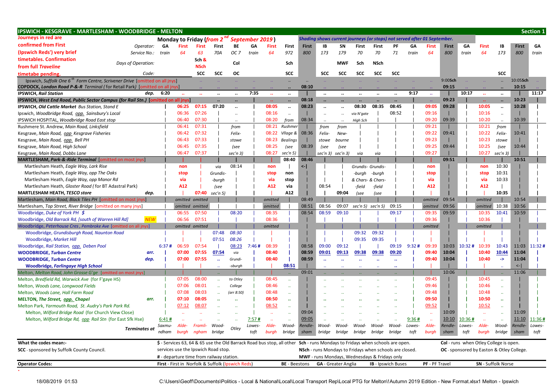| IPSWICH - KESGRAVE - MARTLESHAM - WOODBRIDGE - MELTON                                   | Monday to Friday (from 2<br>September 2019)<br>Shading shows current journeys (or stops) not served after 01 September. |                                         |                      |                      |                                                                        |        |                      |                      |         |            |                      |                                                         |                      |                           |        |                |                                           |        | <b>Section 1</b>          |                      |              |        |
|-----------------------------------------------------------------------------------------|-------------------------------------------------------------------------------------------------------------------------|-----------------------------------------|----------------------|----------------------|------------------------------------------------------------------------|--------|----------------------|----------------------|---------|------------|----------------------|---------------------------------------------------------|----------------------|---------------------------|--------|----------------|-------------------------------------------|--------|---------------------------|----------------------|--------------|--------|
| Journeys in red are                                                                     |                                                                                                                         |                                         |                      |                      |                                                                        |        |                      |                      |         |            |                      |                                                         |                      |                           |        |                |                                           |        |                           |                      |              |        |
| confirmed from First<br>Operator:                                                       | GΑ                                                                                                                      | <b>First</b>                            | <b>First</b>         | First                | BE                                                                     | GA     | <b>First</b>         | First                | First   | IB         | SN                   | First                                                   | First                | PF                        | GA     | <b>First</b>   | <b>First</b>                              | GA     | <b>First</b>              | <b>IB</b>            | First        | GA     |
| (Ipswich Reds') very brief<br>Service No.:                                              | train                                                                                                                   | 64                                      | 63                   | 70A                  | OC <sub>7</sub>                                                        | train  | 64                   | 972                  | 800     | 173        | 179                  | 70                                                      | 70                   | 71                        | train  | 64             | 800                                       | train  | 64                        | 173                  | 800          | train  |
| timetables. Confirmation                                                                |                                                                                                                         |                                         | Sch &                |                      |                                                                        |        |                      |                      |         |            |                      |                                                         |                      |                           |        |                |                                           |        |                           |                      |              |        |
| Days of Operation:<br>from full Traveline                                               |                                                                                                                         |                                         | <b>NSch</b>          |                      | Col                                                                    |        |                      | Sch                  |         |            | <b>MWF</b>           | Sch                                                     | <b>NSch</b>          |                           |        |                |                                           |        |                           |                      |              |        |
| Code:<br>timetabe pending                                                               |                                                                                                                         |                                         | <b>SCC</b>           | <b>SCC</b>           | <b>OC</b>                                                              |        |                      | <b>SCC</b>           |         | <b>SCC</b> | <b>SCC</b>           | <b>SCC</b>                                              | <b>SCC</b>           | <b>SCC</b>                |        |                |                                           |        |                           | <b>SCC</b>           |              |        |
| Ipswich, Suffolk One 6 <sup>th</sup> Form Centre, Scrivener Drive [omitted on all jnys] |                                                                                                                         |                                         |                      |                      |                                                                        |        |                      |                      |         |            |                      |                                                         |                      |                           |        |                | 9:00Sch                                   |        |                           | $\ddotsc$            | 10:05Sch     |        |
| COPDOCK, London Road P-&-R Terminal (for Retail Park) [omitted on all jnys              |                                                                                                                         |                                         |                      |                      |                                                                        |        |                      |                      | 08:10   |            |                      |                                                         |                      |                           |        |                | 09:15                                     |        |                           |                      | 10:15        |        |
| <b>IPSWICH, Rail Station</b><br>dep.                                                    | 6:20                                                                                                                    | $\ddot{\phantom{a}}$                    | $\ddot{\phantom{a}}$ | $\ddot{\phantom{a}}$ | $\ddot{\phantom{a}}$                                                   | 7:35   | $\ddot{\phantom{a}}$ | $\ddot{\phantom{a}}$ |         | $\ddotsc$  | $\ddotsc$            | $\ddotsc$                                               | $\ddot{\phantom{a}}$ | $\ddotsc$                 | 9:17   | $\mathbf{r}$   |                                           | 10:17  | $\mathbf{r}$              | $\ddot{\phantom{a}}$ |              | 11:17  |
| IPSWICH, West End Road, Public Sector Campus (for Rail Stn.) [omitted on all jnyst      |                                                                                                                         |                                         |                      |                      |                                                                        |        |                      |                      | 08:18   | $\ldots$   |                      | $\cdot\cdot$                                            | $\cdots$             |                           |        | $\sim$         | 09:23                                     |        |                           |                      | 10:23        |        |
| <b>IPSWICH, Old Cattle Market</b> Bus Station, Stand E                                  |                                                                                                                         | 06:25                                   | 07:15                | 07:20                | $\ddot{\phantom{a}}$                                                   |        | 08:05                | $\ddotsc$            | 08:23   | $\ddotsc$  | $\ddot{\phantom{a}}$ | 08:30                                                   | 08:35                | 08:45                     |        | 09:05          | 09:28                                     |        | 10:05                     | $\ddot{\phantom{a}}$ | 10:28        |        |
| Ipswich, Woodbridge Road, opp. Sainsbury's Local                                        |                                                                                                                         | 06:36                                   | 07:26                |                      | $\ddot{\phantom{a}}$                                                   |        | 08:16                |                      |         |            |                      | via N'aate                                              |                      | 08:52                     |        | 09:16          |                                           |        | 10:16                     | $\ddotsc$            |              |        |
| IPSWICH HOSPITAL, Woodbridge Road East stop                                             |                                                                                                                         | 06:40                                   | 07:30                |                      |                                                                        |        | 08:20                | from                 | 08:34   | $\ddotsc$  | $\ddotsc$            | High Sch                                                |                      |                           |        | 09:20          | 09:39                                     |        | 10:20                     | $\ddot{\phantom{a}}$ | 10:39        |        |
| Rushmere St. Andrew, Main Road, Linksfield                                              |                                                                                                                         | 06:41                                   | 07:31                |                      | from                                                                   |        | 08:21                | Rushmer              |         | from       | from                 |                                                         |                      |                           |        | 09:21          |                                           |        | 10:21                     | from                 |              |        |
| Kesgrave, Main Road, opp Kesgrave Fisheries                                             |                                                                                                                         | 06:42                                   | 07:32                |                      | Felix-                                                                 |        | 08:22                | Vllage &             | 08:36   | Felix-     | New-                 |                                                         |                      |                           |        | 09:22          | 09:41                                     |        | 10:22                     | Felix-               | 10:41        |        |
| Kesgrave, Main Road, opp. Bell PH                                                       |                                                                                                                         | 06:43                                   | 07:33                |                      | stowe                                                                  |        | 08:23                | <b>Bealings</b>      |         | stowe      | bourne               |                                                         |                      |                           |        | 09:23          |                                           |        | 10:23                     | stowe                |              |        |
| Kesgrave, Main Road, High School                                                        |                                                                                                                         | 06:45                                   | 07:35                |                      | (see                                                                   |        | 08:25                | (see                 | 08:39   | (see       | (see                 |                                                         |                      |                           |        | 09:25          | 09:44                                     |        | 10:25                     | (see                 | 10:44        |        |
| Kesgrave, Main Road, Dobbs Lane                                                         |                                                                                                                         | 06:47                                   | 07:37                |                      | $sec'n$ 3)                                                             |        | 08:27                | sec'n 5              |         | sec'n 3)   | sec'n 3)             | via                                                     | via                  |                           |        | 09:27          |                                           |        | 10:27                     | sec'n 3)             |              |        |
| MARTLESHAM, Park-&-Ride Terminal [omitted on most jnys                                  |                                                                                                                         |                                         |                      |                      |                                                                        |        |                      | 08:40                | 08:46   |            |                      |                                                         |                      |                           |        |                | 09:51                                     |        |                           |                      | 10:51        |        |
| Martlesham Heath, Eagle Way, Lark Rise                                                  |                                                                                                                         | non                                     |                      | via                  | 08:14                                                                  |        | non                  |                      | <-∣     |            |                      | Grundis- Grundis-                                       |                      |                           |        | non            |                                           |        | non                       | 10:30                |              |        |
| Martlesham Heath, Eagle Way, opp The Oaks                                               |                                                                                                                         | stop                                    |                      | Grundis              |                                                                        |        | stop                 | non                  |         |            |                      | -burgh                                                  | -burgh               |                           |        | stop           |                                           |        | stop                      | 10:31                |              |        |
| Martlesham Heath, Eagle Way, opp Manor Rd                                               |                                                                                                                         | via                                     |                      | -burgh               |                                                                        |        | via                  | stop                 |         |            |                      | & Chars- & Chars-                                       |                      |                           |        | via            |                                           |        | via                       | 10:33                |              |        |
| Martlesham Heath, Gloster Road (for BT Adastral Park)                                   |                                                                                                                         | A12                                     |                      | (see                 |                                                                        |        | A12                  | via                  |         | 08:54      |                      | -field                                                  | -field               |                           |        | A12            |                                           |        | A12                       |                      |              |        |
| MARTLESHAM HEATH, TESCO store<br>dep.                                                   |                                                                                                                         |                                         | 07:40                | sec'n 5              |                                                                        |        |                      | A12                  |         |            | 09:04                | (see                                                    | (see                 |                           |        |                |                                           |        |                           | 10:35                |              |        |
| Martlesham, Main Road, Black Tiles PH [omitted on most jnys]                            |                                                                                                                         |                                         | omitted omitted      |                      |                                                                        |        | omitted              |                      | 08:49   |            |                      |                                                         |                      |                           |        | omitted        | 09:54                                     |        | omitted                   |                      | 10:54        |        |
| Martlesham, Top Street, River Bridge [omitted on many jnys]                             |                                                                                                                         |                                         | omitted omitted      |                      |                                                                        |        | omitted              |                      | 08:51   | 08:56      | 09:07                | sec'n 5) $sec'n$ 5)                                     |                      | 09:15                     |        | omitted        | 09:56                                     |        | omitted                   | 10:38                | 10:56        |        |
| Woodbridge, Duke of York PH \$                                                          |                                                                                                                         | 06:55                                   | 07:50                |                      | 08:20                                                                  |        | 08:35                |                      | 08:54   | 08:59      | 09:10                |                                                         |                      | 09:17                     |        | 09:35          | 09:59                                     |        | 10:35                     | 10:41                | 10:59        |        |
| Woodbridge, Old Barrack Rd, [south of Warren Hill Rd]<br><b>NEW</b>                     |                                                                                                                         | 06:56                                   | 07:51                |                      |                                                                        |        | 08:36                |                      |         |            |                      |                                                         |                      |                           |        | 09:36          |                                           |        | 10:36                     |                      |              |        |
| Woodbridge, Peterhouse Cres, Pembroke Ave [omitted on all jnys]                         |                                                                                                                         |                                         | omitted omitted      |                      |                                                                        |        | omitted              |                      |         |            |                      |                                                         |                      |                           |        | omitted        |                                           |        | omitted                   |                      |              |        |
| Woodbridge, Grundisburgh Road, Naunton Road                                             |                                                                                                                         |                                         |                      | 07:48                | 08:30                                                                  |        |                      |                      |         |            |                      | 09:32                                                   | 09:32                |                           |        |                |                                           |        |                           |                      |              |        |
| Woodbridge, Market Hill                                                                 |                                                                                                                         |                                         |                      | 07:51                | 08:26                                                                  |        |                      |                      |         |            |                      | 09:35                                                   | 09:35                |                           |        |                |                                           |        |                           |                      |              |        |
| Woodbridge, Rail Station, opp. Deben Pool                                               | 6:37#                                                                                                                   | 06:59                                   | 07:54                |                      | 08:23                                                                  | 7:46#  | 08:39                |                      | 08:58   | 09:00      | 09:12                |                                                         |                      | 09:19                     | 9:32#  | 09:39          | 10:03                                     | 10:32# | 10:39                     | 10:43                | 11:03        | 11:32# |
| <b>WOODBRIDGE, Turban Centre</b><br>arr.                                                |                                                                                                                         | 07:00                                   | 07:55                | 07:54                | via                                                                    |        | 08:40                |                      | 08:59   | 09:01      | 09:13                | 09:38                                                   | 09:38                | 09:20                     |        | 09:40          | 10:04                                     |        | 10:40                     | 10:44                | 11:04        |        |
| <b>WOODBRIDGE, Turban Centre</b><br>dep.                                                |                                                                                                                         | 07:00                                   | 07:55                | $\ddot{\phantom{a}}$ | Grundi-                                                                |        | 08:40                |                      | 08:59   |            |                      | $\bullet$                                               |                      | $\ddot{\phantom{1}}$      |        | 09:40          | 10:04                                     |        | 10:40                     | $\rightarrow$        | 11:04        |        |
| <b>Woodbridge, Farlingaye High School</b>                                               |                                                                                                                         |                                         |                      |                      | -sburgh                                                                |        |                      | 08:51                |         |            |                      |                                                         |                      |                           |        |                |                                           |        |                           |                      | $\leftarrow$ |        |
| Melton, Melton Road, John Grosse G'ge [omitted on most jnys]                            |                                                                                                                         |                                         |                      |                      |                                                                        |        |                      |                      | 09:01   |            |                      |                                                         |                      |                           |        |                | 10:06                                     |        |                           |                      | 11:06        |        |
| Melton, Bredfield Rd, Warwick Ave (for F'gaye HS)                                       |                                                                                                                         | 07:05                                   | 08:00                | $\ddotsc$            | to Otley                                                               |        | 08:45                | $\ddotsc$            |         |            |                      |                                                         |                      |                           |        | 09:45          |                                           |        | 10:45                     |                      |              |        |
| Melton, Woods Lane, Longwood Fields                                                     |                                                                                                                         | 07:06                                   | 08:01                |                      | College                                                                |        | 08:46                | $\ddotsc$            |         |            |                      |                                                         |                      |                           |        | 09:46          |                                           |        | 10:46                     | $\ddotsc$            |              |        |
| Melton, Woods Lane, Hall Farm Road                                                      |                                                                                                                         | 07:08                                   | 08:03                |                      | (arr 8:50)                                                             |        | 08:48                | ä.                   |         |            |                      |                                                         |                      |                           |        | 09:48          |                                           |        | 10:48                     |                      |              |        |
| MELTON, The Street, opp. Chapel<br>arr.                                                 |                                                                                                                         | 07:10                                   | 08:05                |                      |                                                                        |        | 08:50                | $\ddot{\phantom{1}}$ |         |            |                      |                                                         |                      |                           |        | 09:50          |                                           |        | 10:50                     | $\ddot{\phantom{1}}$ |              |        |
| Melton Park, Yarmouth Road, St. Audry's Park Park Rd.                                   |                                                                                                                         | 07:12                                   | 08:07                |                      |                                                                        |        | 08:52                | $\sim$               |         |            |                      |                                                         |                      |                           |        | 09:52          |                                           |        | 10:52                     | $\ddotsc$            |              |        |
| Melton, Wilford Bridge Road (for Church View Close)                                     |                                                                                                                         |                                         |                      |                      |                                                                        |        |                      | $\ddotsc$            | 09:04   | $\ddotsc$  |                      |                                                         |                      |                           |        | $\mathbf{u}$   | 10:09                                     |        |                           | $\ddotsc$            | 11:09        |        |
| Melton, Wilford Bridge Rd, opp Rail Stn (for East Sfk Hse)                              | 6:41#                                                                                                                   |                                         |                      |                      |                                                                        | 7:57#  |                      |                      | 09:05   |            |                      |                                                         |                      |                           | 9:36#  | $\ddotsc$      | 10:10                                     | 10:36# |                           |                      | 11:10        | 11:36# |
|                                                                                         | Saxmu-                                                                                                                  | Alde-                                   | Framli-              | Wood-                |                                                                        | Lowes- | Alde-                | Wood-                | Rendle- | Wood-      | Wood-                | Wood-                                                   | Wood-                | Wood-                     | Lowes- | Alde-          | Rendle-                                   | Lowes- | Alde-                     | Wood-                | Rendle-      | Lowes- |
| <b>Terminates at</b>                                                                    | ndham                                                                                                                   | burgh                                   |                      | ngham bridge         | Otley                                                                  | toft   | burgh                | bridge               | sham    | bridge     | bridge               | bridge                                                  | bridge               | bridge                    | toft   | burgh          | sham                                      | toft   | burgh                     | bridge               | sham         | toft   |
| What the codes mean:-                                                                   |                                                                                                                         |                                         |                      |                      | \$ - Services 63, 64 & 65 use the Old Barrack Road bus stop, all other |        |                      |                      |         |            |                      | Sch - runs Mondays to Fridays when schools are open.    |                      |                           |        |                | Col - runs when Otley College is open.    |        |                           |                      |              |        |
| <b>SCC</b> - sponsored by Suffolk County Council.                                       |                                                                                                                         | services use the Ipswich Road stop      |                      |                      |                                                                        |        |                      |                      |         |            |                      | NSch - runs Mondays to Fridays when schools are closed. |                      |                           |        |                | OC - sponsored by Easton & Otley College. |        |                           |                      |              |        |
|                                                                                         |                                                                                                                         |                                         |                      |                      |                                                                        |        |                      |                      |         |            |                      |                                                         |                      |                           |        |                |                                           |        |                           |                      |              |        |
|                                                                                         |                                                                                                                         | # - departure time from railway station |                      |                      |                                                                        |        |                      |                      |         |            |                      | MWF - runs Mondays, Wednesdays & Fridays only           |                      |                           |        |                |                                           |        |                           |                      |              |        |
| <b>Operator Codes:</b>                                                                  |                                                                                                                         |                                         |                      |                      | First - First in Norfolk & Suffolk (Ipswich Reds)                      |        |                      | <b>BE</b> - Beestons |         |            | GA - Greater Anglia  |                                                         |                      | <b>IB</b> - Ipswich Buses |        | PF - PF Travel |                                           |        | <b>SN</b> - Suffolk Norse |                      |              |        |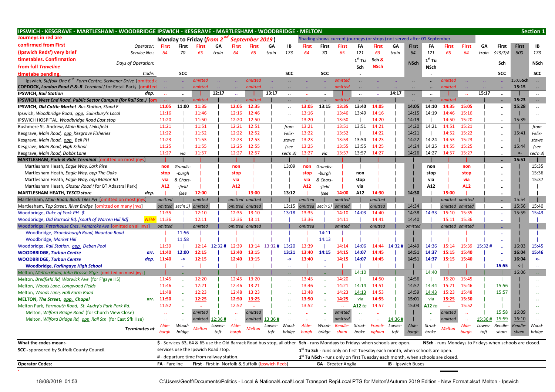|                                                                               | IPSWICH - KESGRAVE - MARTLESHAM - WOODBRIDGE IPSWICH - KESGRAVE - MARTLESHAM - WOODBRIDGE - MELTON<br>Monday to Friday (from 2 <sup>nd</sup> September 2019)<br>Shading shows current journeys (or stops) not served after 01 September. |                      |                                          |                |                |                                                   |                |                                                                                                                             |                |                              |                                                                                        |          |                                      |               |                           |                              |                                                                               | <b>Section 1</b> |                |                                      |                                                    |                               |
|-------------------------------------------------------------------------------|------------------------------------------------------------------------------------------------------------------------------------------------------------------------------------------------------------------------------------------|----------------------|------------------------------------------|----------------|----------------|---------------------------------------------------|----------------|-----------------------------------------------------------------------------------------------------------------------------|----------------|------------------------------|----------------------------------------------------------------------------------------|----------|--------------------------------------|---------------|---------------------------|------------------------------|-------------------------------------------------------------------------------|------------------|----------------|--------------------------------------|----------------------------------------------------|-------------------------------|
| Journeys in red are                                                           |                                                                                                                                                                                                                                          |                      |                                          |                |                |                                                   |                |                                                                                                                             |                |                              |                                                                                        |          |                                      |               |                           |                              |                                                                               |                  |                |                                      |                                                    |                               |
| confirmed from First<br>Operator:                                             | <b>First</b>                                                                                                                                                                                                                             | First                | First                                    | GA             | First          | First                                             | GΑ             | IB                                                                                                                          | First          | First                        | First                                                                                  | FA       | First                                | GΑ            | First                     | FA                           | First                                                                         | First            | GΑ             | First                                | <b>First</b>                                       | IB                            |
| (Ipswich Reds') very brief<br>Service No.:                                    | 64                                                                                                                                                                                                                                       | 70                   | 65                                       | train          | 64             | 65                                                | train          | 173                                                                                                                         | 64             | 70                           | 65                                                                                     | 121      | 63                                   | train         | 64                        | 121                          | 65                                                                            | 64               | train          | 915/7/8                              | 800                                                | 173                           |
| timetables. Confirmation                                                      |                                                                                                                                                                                                                                          |                      |                                          |                |                |                                                   |                |                                                                                                                             |                |                              |                                                                                        | $1st$ Tu | Sch &                                |               |                           | $1st$ Tu                     |                                                                               |                  |                |                                      |                                                    |                               |
| Days of Operation:<br>from full Traveline                                     |                                                                                                                                                                                                                                          |                      |                                          |                |                |                                                   |                |                                                                                                                             |                |                              |                                                                                        | Sch      | <b>NSch</b>                          |               | <b>NSch</b>               | NSch                         |                                                                               |                  |                | Sch                                  |                                                    | NSch                          |
| Code:<br>timetabe pending                                                     |                                                                                                                                                                                                                                          | <b>SCC</b>           |                                          |                |                |                                                   |                | <b>SCC</b>                                                                                                                  |                | <b>SCC</b>                   |                                                                                        |          |                                      |               |                           |                              |                                                                               |                  |                | <b>SCC</b>                           |                                                    | <b>SCC</b>                    |
| Ipswich, Suffolk One 6 <sup>th</sup> Form Centre, Scrivener Drive [omitted of |                                                                                                                                                                                                                                          | $\sim$               | omitted                                  |                |                | omitted                                           |                | $\ldots$                                                                                                                    |                | $\sim$                       | omitted                                                                                |          |                                      |               |                           |                              | omitted                                                                       |                  |                |                                      | 15:05Sch                                           | $\sim$                        |
| COPDOCK, London Road P-&-R Terminal (for Retail Park) [omitted                | $\mathbf{r}$ .                                                                                                                                                                                                                           | $\sim$               | omitted                                  |                | $\sim$         | omitted                                           |                |                                                                                                                             | $\sim$         | $\sim$                       | omitted                                                                                |          |                                      |               |                           |                              | omitted                                                                       |                  | $\mathbf{r}$ . | $\mathbf{r}$ .                       | 15:15                                              |                               |
| <b>IPSWICH, Rail Station</b><br>dep.                                          | $\mathbf{r}$                                                                                                                                                                                                                             | $\cdot\cdot$         |                                          | 12:17          | $\mathbf{r}$   |                                                   | 13:17          | $\ddot{\phantom{a}}$                                                                                                        | Ω.             |                              |                                                                                        | $\ldots$ | $\mathbf{r}$ .                       | 14:17         | $\ddot{\phantom{a}}$      |                              |                                                                               | $\mathbf{r}$     | 15:17          | $\ddotsc$                            |                                                    | $\ddotsc$                     |
| <b>IPSWICH, West End Road, Public Sector Campus (for Rail Stn.) Jom</b>       | $\ddotsc$                                                                                                                                                                                                                                | $\ddot{\phantom{a}}$ | omitted                                  |                | $\sim$         | omitted                                           |                |                                                                                                                             | $\mathbf{r}$ . |                              | omitted                                                                                | $\ldots$ | a.                                   |               | $\ddot{\phantom{a}}$      |                              | omitted                                                                       | $\sim$           |                | $\ddotsc$                            | 15:23                                              | $\bullet\bullet$              |
| <b>IPSWICH, Old Cattle Market Bus Station, Stand E</b>                        | 11:05                                                                                                                                                                                                                                    | 11:00                | 11:35                                    |                | 12:05          | 12:35                                             |                | $\ddot{\phantom{a}}$                                                                                                        | 13:05          | 13:15                        | 13:35                                                                                  | 13:40    | 14:05                                |               | 14:05                     | 14:10                        | 14:35                                                                         | 15:05            |                |                                      | 15:28                                              |                               |
| Ipswich, Woodbridge Road, opp. Sainsbury's Local                              | 11:16                                                                                                                                                                                                                                    |                      | 11:46                                    |                | 12:16          | 12:46                                             |                |                                                                                                                             | 13:16          |                              | 13:46                                                                                  | 13:49    | 14:16                                |               | 14:15                     | 14:19                        | 14:46                                                                         | 15:16            |                | $\ddot{\phantom{0}}$                 |                                                    |                               |
| IPSWICH HOSPITAL, Woodbridge Road East stop                                   | 11:20                                                                                                                                                                                                                                    |                      | 11:50                                    |                | 12:20          | 12:50                                             |                | $\cdot$                                                                                                                     | 13:20          |                              | 13:50                                                                                  |          | 14:20                                |               | 14:19                     |                              | 14:50                                                                         | 15:20            |                | $\ddotsc$                            | 15:39                                              |                               |
| Rushmere St. Andrew, Main Road, Linksfield                                    | 11:21                                                                                                                                                                                                                                    |                      | 11:51                                    |                | 12:21          | 12:51                                             |                | from                                                                                                                        | 13:21          |                              | 13:51                                                                                  | 13:51    | 14:21                                |               | 14:20                     | 14:21                        | 14:51                                                                         | 15:21            |                | $\ddot{\phantom{a}}$                 |                                                    | from                          |
| Kesgrave, Main Road, opp Kesgrave Fisheries                                   | 11:22                                                                                                                                                                                                                                    |                      | 11:52                                    |                | 12:22          | 12:52                                             |                | Felix-                                                                                                                      | 13:22          |                              | 13:52                                                                                  |          | 14:22                                |               | 14:21                     |                              | 14:52                                                                         | 15:22            |                | $\ddot{\phantom{0}}$                 | 15:41                                              | Felix-                        |
| Kesgrave, Main Road, opp. Bell PH                                             | 11:23                                                                                                                                                                                                                                    |                      | 11:53                                    |                | 12:23          | 12:53                                             |                | stowe                                                                                                                       | 13:23          |                              | 13:53                                                                                  | 13:54    | 14:23                                |               | 14:22                     | 14:24                        | 14:53                                                                         | 15:23            |                |                                      |                                                    | stowe                         |
| Kesgrave, Main Road, High School                                              | 11:25                                                                                                                                                                                                                                    |                      | 11:55                                    |                | 12:25          | 12:55                                             |                | (see                                                                                                                        | 13:25          |                              | 13:55                                                                                  | 13:55    | 14:25                                |               | 14:24                     | 14:25                        | 14:55                                                                         | 15:25            |                |                                      | 15:44                                              | (see                          |
| Kesgrave, Main Road, Dobbs Lane                                               | 11:27                                                                                                                                                                                                                                    | via                  | 11:57                                    |                | 12:27          | 12:57                                             |                | sec'n 3)                                                                                                                    | 13:27          | via                          | 13:57                                                                                  | 13:57    | 14:27                                |               | 14:26                     | 14:27                        | 14:57                                                                         | 15:27            |                |                                      | $\leftarrow$                                       | sec'n 3)                      |
| MARTLESHAM, Park-&-Ride Terminal [omitted on most jnys]                       |                                                                                                                                                                                                                                          |                      |                                          |                |                |                                                   |                |                                                                                                                             |                |                              |                                                                                        |          |                                      |               |                           |                              |                                                                               |                  |                | $\ddot{\phantom{a}}$                 | 15:51                                              |                               |
| Martlesham Heath, Eagle Way, Lark Rise                                        | non                                                                                                                                                                                                                                      | Grundis-             |                                          |                | non            |                                                   |                | 13:09                                                                                                                       | non            | Grundis-                     |                                                                                        |          |                                      |               |                           | non                          |                                                                               | non              |                |                                      |                                                    | 15:35                         |
| Martlesham Heath, Eagle Way, opp The Oaks                                     | stop                                                                                                                                                                                                                                     | -burgh               |                                          |                | stop           |                                                   |                |                                                                                                                             | stop           | -burgh                       |                                                                                        | non      |                                      |               |                           | stop                         |                                                                               | stop             |                |                                      |                                                    | 15:36                         |
| Martlesham Heath, Eagle Way, opp Manor Rd                                     | via                                                                                                                                                                                                                                      | & Chars-             |                                          |                | via            |                                                   |                |                                                                                                                             | via            | & Chars-                     |                                                                                        | stop     |                                      |               |                           | via                          |                                                                               | via              |                |                                      |                                                    | 15:37                         |
| Martlesham Heath, Gloster Road (for BT Adastral Park)                         | A12                                                                                                                                                                                                                                      | -field               |                                          |                | A12            |                                                   |                |                                                                                                                             | A12            | -field                       |                                                                                        | via      |                                      |               |                           | A12                          |                                                                               | A12              |                |                                      |                                                    |                               |
| MARTLESHAM HEATH, TESCO store<br>dep.                                         |                                                                                                                                                                                                                                          | (see                 | 12:00                                    |                |                | 13:00                                             |                | 13:12                                                                                                                       |                | (see                         | 14:00                                                                                  | A12      | 14:30                                |               | 14:30                     |                              | 15:00                                                                         |                  |                |                                      |                                                    |                               |
| Martlesham, Main Road, Black Tiles PH [omitted on most jnys]                  | omitted                                                                                                                                                                                                                                  |                      | omitted                                  |                |                | omitted omitted                                   |                |                                                                                                                             | omitted        |                              | omitted                                                                                |          | omitted                              |               |                           |                              | omitted omitted                                                               |                  |                | $\ddotsc$                            | 15:54                                              |                               |
| Martlesham, Top Street, River Bridge [omitted on many jnys]                   |                                                                                                                                                                                                                                          |                      | omitted sec'n 5) omitted                 |                |                | omitted omitted                                   |                | 13:15                                                                                                                       |                | omitted   sec'n 5)   omitted |                                                                                        |          | omitted                              |               | 14:34                     |                              | omitted omitted                                                               |                  |                | $\ddotsc$                            | 15:56                                              | 15:40                         |
| Woodbridge, Duke of York PH \$                                                | 11:35                                                                                                                                                                                                                                    |                      | 12:10                                    |                | 12:35          | 13:10                                             |                | 13:18                                                                                                                       | 13:35          |                              | 14:10                                                                                  | 14:03    | 14:40                                |               | 14:38                     | 14:33                        | 15:10                                                                         | 15:35            |                | $\ddotsc$                            | 15:59                                              | 15:43                         |
| Woodbridge, Old Barrack Rd, [south of Warren Hill Rd]<br><b>NEW</b>           | 11:36                                                                                                                                                                                                                                    |                      | 12:11                                    |                | 12:36          | 13:11                                             |                |                                                                                                                             | 13:36          |                              | 14:11                                                                                  |          | 14:41                                |               | 14:40                     |                              | 15:11                                                                         | 15:36            |                | $\ddotsc$                            |                                                    |                               |
| Woodbridge, Peterhouse Cres, Pembroke Ave [omitted on all jnys]               | omitted                                                                                                                                                                                                                                  |                      | omitted                                  |                |                | omitted omitted                                   |                |                                                                                                                             | omitted        |                              | omitted                                                                                |          | omitted                              |               | omitted                   |                              | omitted omitted                                                               |                  |                | $\sim$                               |                                                    |                               |
| Woodbridge, Grundisburgh Road, Naunton Road                                   |                                                                                                                                                                                                                                          | 11:56                |                                          |                |                |                                                   |                |                                                                                                                             |                | 14:11                        |                                                                                        |          |                                      |               |                           |                              |                                                                               |                  |                | Ω.                                   |                                                    |                               |
| Woodbridge, Market Hill                                                       |                                                                                                                                                                                                                                          | 11:58                |                                          |                |                |                                                   |                |                                                                                                                             |                | 14:13                        |                                                                                        |          |                                      |               |                           |                              |                                                                               |                  |                |                                      |                                                    |                               |
| Woodbridge, Rail Station, opp. Deben Pool                                     | 11:39                                                                                                                                                                                                                                    |                      | 12:14                                    | 12:32#         | 12:39          |                                                   | 13:14 13:32#   | 13:20                                                                                                                       | 13:39          |                              | 14:14                                                                                  | 14:06    |                                      | 14:44 14:32 # | 14:49                     | 14:36                        | 15:14                                                                         |                  | 15:39 15:32#   | $\ddot{\phantom{1}}$                 | 16:03                                              | 15:45                         |
| <b>WOODBRIDGE, Turban Centre</b><br>arr.                                      | 11:40                                                                                                                                                                                                                                    | 12:00                | 12:15                                    |                | 12:40          | 13:15                                             |                | 13:21                                                                                                                       | 13:40          | 14:15                        | 14:15                                                                                  | 14:07    | 14:45                                |               | 14:51                     | 14:37                        | 15:15                                                                         | 15:40            |                | $\ddot{\phantom{a}}$                 | 16:04                                              | 15:46                         |
| <b>WOODBRIDGE, Turban Centre</b><br>dep.                                      | 11:40                                                                                                                                                                                                                                    | $\rightarrow$        | 12:15                                    |                | 12:40          | 13:15                                             |                | ->                                                                                                                          | 13:40          | $\ddotsc$                    | 14:15                                                                                  | 14:07    | 14:45                                |               | 14:51                     | 14:37                        | 15:15                                                                         | 15:40            |                | $\ddot{\phantom{a}}$                 | 16:04                                              | $\leftarrow$                  |
| <b>Woodbridge, Farlingaye High School</b>                                     |                                                                                                                                                                                                                                          | $\ddotsc$            |                                          |                |                |                                                   |                | $\ddotsc$                                                                                                                   |                | $\ddot{\phantom{a}}$         |                                                                                        |          |                                      |               |                           |                              |                                                                               |                  |                | 15:55                                | $\left\vert \left\langle -\right\vert \right\vert$ |                               |
| Melton, Melton Road, John Grosse G'ge [omitted on most jnys]                  |                                                                                                                                                                                                                                          |                      |                                          |                |                |                                                   |                | $\ddotsc$                                                                                                                   |                | $\ddotsc$                    |                                                                                        | 14:10    |                                      |               |                           | 14:40                        |                                                                               |                  |                |                                      | 16:06                                              | $\mathcal{L}_{\mathcal{F}}$ . |
| Melton, Bredfield Rd, Warwick Ave (for F'gaye HS)                             | 11:45                                                                                                                                                                                                                                    | $\ddotsc$            | 12:20                                    |                | 12:45          | 13:20                                             |                |                                                                                                                             | 13:45          | $\ddot{\phantom{a}}$         | 14:20                                                                                  |          | 14:50                                |               | 14:56                     |                              | 15:20                                                                         | 15:45            |                |                                      |                                                    |                               |
| Melton, Woods Lane, Longwood Fields                                           | 11:46                                                                                                                                                                                                                                    |                      | 12:21                                    |                | 12:46          | 13:21                                             |                |                                                                                                                             | 13:46          | $\ddot{\phantom{a}}$         | 14:21                                                                                  | 14:14    | 14:51                                |               | 14:57                     | 14:44                        | 15:21                                                                         | 15:46            |                | 15:56                                |                                                    |                               |
| Melton, Woods Lane, Hall Farm Road                                            | 11:48                                                                                                                                                                                                                                    |                      | 12:23                                    |                | 12:48          | 13:23                                             |                |                                                                                                                             | 13:48          | $\ddotsc$                    | 14:23                                                                                  | 14:13    | 14:53                                |               | 14:59                     | 14:43                        | 15:23                                                                         | 15:48            |                | 15:57                                |                                                    |                               |
| <b>MELTON, The Street, opp. Chapel</b><br>arr.                                | 11:50                                                                                                                                                                                                                                    | $\ddotsc$            | 12:25                                    |                | 12:50          | 13:25                                             |                | $\ddot{\phantom{a}}$                                                                                                        | 13:50          | $\ddotsc$                    | 14:25                                                                                  | via      | 14:55                                |               | 15:01                     | via                          | 15:25                                                                         | 15:50            |                |                                      |                                                    |                               |
| Melton Park, Yarmouth Road, St. Audry's Park Park Rd.                         | 11:52                                                                                                                                                                                                                                    | $\ddotsc$            | $\mathcal{L}_{\mathcal{F}}$              |                | 12:52          | $\mathbf{1}$                                      |                |                                                                                                                             | 13:52          | $\ddotsc$                    | $\mathbf{1}$                                                                           | A12 to   | 14:57                                |               | 15:03                     | A12 to                       | $\mathcal{L}_{\mathcal{F}}$                                                   | 15:52            |                |                                      | 16:09                                              |                               |
| Melton, Wilford Bridge Road (for Church View Close)                           | $\mathbf{r}$ .                                                                                                                                                                                                                           |                      | omitted                                  |                |                | omitted<br>omitted 13:36#                         |                |                                                                                                                             |                |                              | omitted                                                                                |          |                                      |               |                           |                              | omitted                                                                       |                  |                | 15:58                                |                                                    |                               |
| Melton, Wilford Bridge Rd, opp Rail Stn (for East Sfk Hse)                    |                                                                                                                                                                                                                                          |                      | omitted 12:36#                           |                |                |                                                   |                |                                                                                                                             |                |                              | omitted                                                                                |          |                                      | 14:36#        |                           |                              | omitted                                                                       |                  | 15:36#         | 15:59                                | 16:10                                              |                               |
| <b>Terminates at</b>                                                          | burgh                                                                                                                                                                                                                                    | Wood-<br>bridge      | Melton                                   | Lowes-<br>toft | Alde-<br>burgh | <b>Melton</b>                                     | Lowes-<br>toft | Wood-<br>bridge                                                                                                             | Alde-<br>burah | bridge sham                  | Wood- Rendle-                                                                          |          | Strad- Framli- Lowes-<br>broke ngham | toft          | Alde-<br>burgh            | Strad-<br>$\mathsf{p}$ broke | <b>Melton</b>                                                                 | Alde-<br>burah   | toft           | Lowes- Rendle- Rendle- Wood-<br>sham | sham                                               | bridge                        |
| What the codes mean:-                                                         |                                                                                                                                                                                                                                          |                      |                                          |                |                |                                                   |                | \$ - Services 63, 64 & 65 use the Old Barrack Road bus stop, all other Sch - runs Mondays to Fridays when schools are open. |                |                              |                                                                                        |          |                                      |               |                           |                              | NSch - runs Mondays to Fridays when schools are closed.                       |                  |                |                                      |                                                    |                               |
| SCC - sponsored by Suffolk County Council.                                    |                                                                                                                                                                                                                                          |                      | services use the Ipswich Road stop.      |                |                |                                                   |                |                                                                                                                             |                |                              | 1 <sup>st</sup> Tu Sch - runs only on first Tuesday each month, when schools are open. |          |                                      |               |                           |                              |                                                                               |                  |                |                                      |                                                    |                               |
|                                                                               |                                                                                                                                                                                                                                          |                      | # - departure time from railway station. |                |                |                                                   |                |                                                                                                                             |                |                              |                                                                                        |          |                                      |               |                           |                              | 1st Tu NSch - runs only on first Tuesday each month, when schools are closed. |                  |                |                                      |                                                    |                               |
| <b>Operator Codes:</b>                                                        | FA - Fareline                                                                                                                                                                                                                            |                      |                                          |                |                | First - First in Norfolk & Suffolk (Ipswich Reds) |                |                                                                                                                             |                |                              | GA - Greater Anglia                                                                    |          |                                      |               | <b>IB</b> - Ipswich Buses |                              |                                                                               |                  |                |                                      |                                                    |                               |
|                                                                               |                                                                                                                                                                                                                                          |                      |                                          |                |                |                                                   |                |                                                                                                                             |                |                              |                                                                                        |          |                                      |               |                           |                              |                                                                               |                  |                |                                      |                                                    |                               |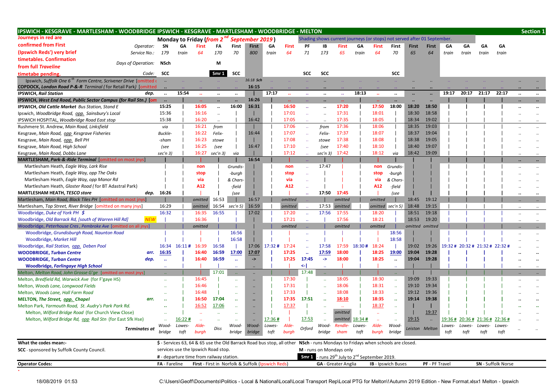| IPSWICH - KESGRAVE - MARTLESHAM - WOODBRIDGE IPSWICH - KESGRAVE - MARTLESHAM - WOODBRIDGE - MELTON |                      |        |                                                        |                      |                                                   |                       |              |                                                                        |                             |                      |                                                                          |        |                      |                           |                      |                      |        |        |                                     |                           | <b>Section 1</b>                  |
|----------------------------------------------------------------------------------------------------|----------------------|--------|--------------------------------------------------------|----------------------|---------------------------------------------------|-----------------------|--------------|------------------------------------------------------------------------|-----------------------------|----------------------|--------------------------------------------------------------------------|--------|----------------------|---------------------------|----------------------|----------------------|--------|--------|-------------------------------------|---------------------------|-----------------------------------|
| Journeys in red are                                                                                |                      |        | Monday to Friday (from 2 <sup>nd</sup> September 2019) |                      |                                                   |                       |              |                                                                        |                             |                      | Shading shows current journeys (or stops) not served after 01 September. |        |                      |                           |                      |                      |        |        |                                     |                           |                                   |
| confirmed from First<br>Operator:                                                                  | SN                   | GA     | <b>First</b>                                           | FA                   | First                                             | First                 | GA           | <b>First</b>                                                           | ΡF                          | IB                   | First                                                                    | GA     | First                | First                     | <b>First</b>         | First                | GΑ     | GΑ     | GΑ                                  | GΑ                        |                                   |
| (Ipswich Reds') very brief<br>Service No.:                                                         | 179                  | train  | 64                                                     | 170                  | 70                                                | 800                   | train        | 64                                                                     | 71                          | 173                  | 65                                                                       | train  | 64                   | 70                        | 65                   | 64                   | train  | train  | train                               | train                     |                                   |
| timetables. Confirmation                                                                           |                      |        |                                                        |                      |                                                   |                       |              |                                                                        |                             |                      |                                                                          |        |                      |                           |                      |                      |        |        |                                     |                           |                                   |
| Days of Operation:<br>from full Traveline                                                          | <b>NSch</b>          |        |                                                        | M                    |                                                   |                       |              |                                                                        |                             |                      |                                                                          |        |                      |                           |                      |                      |        |        |                                     |                           |                                   |
| Code:<br>timetabe pending                                                                          | <b>SCC</b>           |        |                                                        | Smr 1                | SCC                                               |                       |              |                                                                        | <b>SCC</b>                  | <b>SCC</b>           |                                                                          |        |                      | <b>SCC</b>                |                      |                      |        |        |                                     |                           |                                   |
| Ipswich, Suffolk One 6 <sup>th</sup> Form Centre, Scrivener Drive [omitted of                      |                      |        |                                                        |                      |                                                   | 16:18 Sch             |              |                                                                        |                             |                      |                                                                          |        |                      |                           |                      |                      |        |        |                                     |                           |                                   |
| <b>COPDOCK, London Road P-&amp;-R</b> Terminal (for Retail Park) [c                                |                      |        |                                                        |                      |                                                   | 16:15                 |              |                                                                        |                             |                      |                                                                          |        |                      |                           |                      |                      |        |        |                                     |                           |                                   |
| <b>IPSWICH, Rail Station</b><br>dep.                                                               | $\ddotsc$            | 15:54  | $\ddotsc$                                              | $\ddotsc$            | $\ddotsc$                                         |                       | 17:17        | $\mathbf{a}$                                                           | $\ddot{\phantom{a}}$        | $\ddot{\phantom{a}}$ | ä.                                                                       | 18:13  | $\ddotsc$            | $\ddot{\phantom{a}}$      | $\ddot{\phantom{a}}$ | $\ddot{\phantom{a}}$ | 19:17  | 20:17  | 21:17                               | 22:17                     | $\ddot{\phantom{a}}$<br>$\ddotsc$ |
| IPSWICH, West End Road, Public Sector Campus (for Rail Stn.) [om                                   | $\ldots$             |        | $\mathbf{r}$                                           | $\ddot{\phantom{a}}$ | $\ddotsc$                                         | 16:26                 |              | $\ddot{\phantom{a}}$                                                   |                             | $\cdot$              |                                                                          |        | $\ddot{\phantom{a}}$ | $\cdot$                   |                      | $\cdot$              |        |        |                                     |                           | $\ddot{\phantom{a}}$              |
| <b>IPSWICH, Old Cattle Market Bus Station, Stand E</b>                                             | 15:25                |        | 16:05                                                  | $\ddotsc$            | 16:00                                             | 16:31                 |              | 16:50                                                                  | $\ddotsc$                   | $\ddotsc$            | 17:20                                                                    |        | 17:50                | 18:00                     | 18:20                | 18:50                |        |        |                                     |                           | $\ddotsc$                         |
| Ipswich, Woodbridge Road, opp. Sainsbury's Local                                                   | 15:36                |        | 16:16                                                  | $\ldots$             |                                                   |                       |              | 17:01                                                                  |                             |                      | 17:31                                                                    |        | 18:01                |                           | 18:30                | 18:58                |        |        |                                     |                           |                                   |
| IPSWICH HOSPITAL, Woodbridge Road East stop                                                        | 15:38                |        | 16:20                                                  |                      |                                                   | 16:42                 |              | 17:05                                                                  |                             |                      | 17:35                                                                    |        | 18:05                |                           | 18:34                | 19:02                |        |        |                                     |                           |                                   |
| Rushmere St. Andrew, Main Road, Linksfield                                                         | via                  |        | 16:21                                                  | from                 |                                                   |                       |              | 17:06                                                                  | $\sim$                      | from                 | 17:36                                                                    |        | 18:06                |                           | 18:35                | 19:03                |        |        |                                     |                           |                                   |
| Kesgrave, Main Road, opp Kesgrave Fisheries                                                        | <b>Buckle-</b>       |        | 16:22                                                  | Felix-               |                                                   | 16:44                 |              | 17:07                                                                  |                             | Felix-               | 17:37                                                                    |        | 18:07                |                           | 18:37                | 19:04                |        |        |                                     |                           |                                   |
| Kesgrave, Main Road, opp. Bell PH                                                                  | -sham                |        | 16:23                                                  | stowe                |                                                   |                       |              | 17:08                                                                  |                             | stowe                | 17:38                                                                    |        | 18:08                |                           | 18:38                | 19:05                |        |        |                                     |                           |                                   |
| Kesgrave, Main Road, High School                                                                   | (see                 |        | 16:25                                                  | (see                 |                                                   | 16:47                 |              | 17:10                                                                  |                             | (see                 | 17:40                                                                    |        | 18:10                |                           | 18:40                | 19:07                |        |        |                                     |                           |                                   |
| Kesgrave, Main Road, Dobbs Lane                                                                    | sec'n 3)             |        | 16:27                                                  | $sec'n$ 3)           | via                                               |                       |              | 17:12                                                                  |                             | sec'n 3)             | 17:42                                                                    |        | 18:12                | via                       | 18:42                | 19:09                |        |        |                                     |                           |                                   |
| <b>MARTLESHAM, Park-&amp;-Ride Terminal [omitted on most jnys]</b>                                 |                      |        |                                                        |                      |                                                   | 16:54                 |              |                                                                        |                             |                      |                                                                          |        |                      |                           |                      |                      |        |        |                                     |                           |                                   |
| Martlesham Heath, Eagle Way, Lark Rise                                                             |                      |        | non                                                    |                      | Grundis-                                          |                       |              | non                                                                    |                             | 17:47                |                                                                          |        | non                  | Grundis-                  |                      |                      |        |        |                                     |                           |                                   |
| Martlesham Heath, Eagle Way, opp The Oaks                                                          |                      |        | stop                                                   |                      | -burgh                                            |                       |              | stop                                                                   |                             |                      |                                                                          |        | stop                 | -burgh                    |                      |                      |        |        |                                     |                           |                                   |
| Martlesham Heath, Eagle Way, opp Manor Rd                                                          |                      |        | via                                                    |                      | & Chars-                                          |                       |              | via                                                                    |                             |                      |                                                                          |        | via                  | & Chars-                  |                      |                      |        |        |                                     |                           |                                   |
| Martlesham Heath, Gloster Road (for BT Adastral Park)                                              |                      |        | A12                                                    |                      | -field                                            |                       |              | A12                                                                    |                             | 17:50                | 17:45                                                                    |        | A12                  | -field                    |                      |                      |        |        |                                     |                           |                                   |
| <b>MARTLESHAM HEATH, TESCO store</b>                                                               | dep. 16:26           |        |                                                        |                      | (see                                              |                       |              |                                                                        |                             |                      | omitted                                                                  |        |                      | (see                      |                      | 19:12                |        |        |                                     |                           |                                   |
| Martlesham, Main Road, Black Tiles PH [omitted on most jnys]                                       | 16:29                |        | omitted<br>omitted                                     | 16:53<br>16:54       | sec'n 5)                                          | 16:57<br>16:59        |              | omitted<br>omitted                                                     |                             | 17:53                | omitted                                                                  |        | omitted<br>omitted   | sec'n 5                   | 18:45<br>18:48       | 19:15                |        |        |                                     |                           |                                   |
| Martlesham, Top Street, River Bridge [omitted on many jnys]<br>Woodbridge, Duke of York PH \$      | 16:32                |        | 16:35                                                  | 16:55                |                                                   | 17:02                 |              | 17:20                                                                  |                             | 17:56                | 17:55                                                                    |        | 18:20                |                           | 18:51                | 19:18                |        |        |                                     |                           | $\ddotsc$                         |
| Woodbridge, Old Barrack Rd, [south of Warren Hill Rd]<br><b>NEW</b>                                |                      |        | 16:36                                                  |                      |                                                   |                       |              | 17:21                                                                  |                             |                      | 17:56                                                                    |        | 18:21                |                           | 18:53                | 19:20                |        |        |                                     |                           | $\cdot$                           |
| Woodbridge, Peterhouse Cres, Pembroke Ave [omitted on all jnys]                                    |                      |        | omitted                                                |                      |                                                   |                       |              | omitted                                                                |                             |                      | omitted                                                                  |        | omitted              |                           |                      | omitted omitted      |        |        |                                     |                           |                                   |
| Woodbridge, Grundisburgh Road, Naunton Road                                                        |                      |        |                                                        |                      | 16:56                                             |                       |              |                                                                        | $\mathcal{L}_{\mathcal{A}}$ |                      |                                                                          |        |                      | 18:56                     |                      |                      |        |        |                                     |                           |                                   |
| Woodbridge, Market Hill                                                                            |                      |        |                                                        |                      | 16:58                                             |                       |              |                                                                        |                             |                      |                                                                          |        |                      | 18:58                     |                      |                      |        |        |                                     |                           |                                   |
| Woodbridge, Rail Station, opp. Deben Pool                                                          | 16:34                | 16:11# | 16:39                                                  | 16:58                |                                                   |                       | 17:06 17:32# | 17:24                                                                  |                             | 17:58                | 17:59                                                                    | 18:30# | 18:24                |                           | 19:02                |                      |        |        | 19:26 19:32 # 20:32 # 21:32 # 22:32 |                           |                                   |
| <b>WOODBRIDGE, Turban Centre</b><br>arr.                                                           | 16:35                |        | 16:40                                                  | 16:59                | 17:00                                             | 17:07                 |              | 17:25                                                                  | $\ddot{\phantom{a}}$        | 17:59                | 18:00                                                                    |        | 18:25                | 19:00                     | 19:04                | 19:28                |        |        |                                     |                           |                                   |
| <b>WOODBRIDGE, Turban Centre</b><br>dep.                                                           | $\ddotsc$            |        | 16:40                                                  | 16:59                | $\ddotsc$                                         | $\mathord{\text{--}}$ |              | 17:25                                                                  | 17:45                       | ->                   | 18:00                                                                    |        | 18:25                | $\ddotsc$                 | 19:04                | 19:28                |        |        |                                     |                           |                                   |
| <b>Woodbridge, Farlingaye High School</b>                                                          |                      |        |                                                        |                      |                                                   |                       |              |                                                                        | <-∣                         |                      |                                                                          |        |                      |                           |                      |                      |        |        |                                     |                           |                                   |
| Melton, Melton Road, John Grosse G'ge [omitted on most jnys                                        |                      |        |                                                        | 17:01                | $\sim$                                            | $\ddotsc$             |              |                                                                        | 17:48                       |                      |                                                                          |        |                      |                           |                      |                      |        |        |                                     |                           |                                   |
| Melton, Bredfield Rd, Warwick Ave (for F'gaye HS)                                                  |                      |        | 16:45                                                  |                      | $\mathbf{L}$                                      | $\ddotsc$             |              | 17:30                                                                  |                             |                      | 18:05                                                                    |        | 18:30                | $\mathbf{L}$              | 19:09                | 19:33                |        |        |                                     |                           |                                   |
| Melton, Woods Lane, Longwood Fields                                                                |                      |        | 16:46                                                  |                      |                                                   | $\ddotsc$             |              | 17:31                                                                  |                             |                      | 18:06                                                                    |        | 18:31                | $\ddot{\phantom{a}}$      | 19:10                | 19:34                |        |        |                                     |                           |                                   |
| Melton, Woods Lane, Hall Farm Road                                                                 |                      |        | 16:48                                                  |                      | $\ddotsc$                                         | $\ddotsc$             |              | 17:33                                                                  |                             | $\ddotsc$            | 18:08                                                                    |        | 18:33                | $\ddot{\phantom{a}}$      | 19:12                | 19:36                |        |        |                                     |                           |                                   |
| <b>MELTON, The Street, opp. Chapel</b><br>arr.                                                     | $\ddot{\phantom{a}}$ |        | 16:50                                                  | 17:04                | $\ddot{\phantom{1}}$                              | $\ddot{\phantom{a}}$  |              | 17:35                                                                  | 17:51                       |                      | 18:10                                                                    |        | 18:35                | $\ddotsc$                 | 19:14                | 19:38                |        |        |                                     |                           |                                   |
| Melton Park, Yarmouth Road, St. Audry's Park Park Rd.                                              |                      |        | 16:52                                                  | 17:06                |                                                   |                       |              | 17:37                                                                  |                             |                      | $\ddot{\phantom{1}}$                                                     |        | 18:37                | $\ddot{\phantom{1}}$      |                      |                      |        |        |                                     |                           |                                   |
| Melton, Wilford Bridge Road (for Church View Close)                                                |                      |        |                                                        |                      |                                                   |                       |              |                                                                        |                             |                      | omitted                                                                  |        |                      |                           |                      | 19:37                |        |        |                                     |                           |                                   |
| Melton, Wilford Bridge Rd, opp Rail Stn (for East Sfk Hse)                                         |                      | 16:22# | $\ddotsc$                                              | $\ddotsc$            | $\ddotsc$                                         | $\ddotsc$             | 17:36#       |                                                                        | 17:53                       |                      | omitted                                                                  | 18:34# | $\ddotsc$            | $\ddot{\phantom{a}}$      | 19:15                |                      | 19:36# |        | 20:36 # 21:36 #                     | 22:36#                    |                                   |
| <b>Terminates at</b>                                                                               | Wood-                | Lowes- | Alde-                                                  | Diss                 | Wood-                                             | Wood-                 | Lowes-       | Alde-                                                                  | Orford                      | Wood-                | Rendle-                                                                  | Lowes- | Alde-                | Wood-                     |                      | Leiston Melton       | Lowes- | Lowes- | Lowes-                              | Lowes-                    |                                   |
|                                                                                                    | bridge               | toft   | burgh                                                  |                      | bridge                                            | bridge                | toft         | burgh                                                                  |                             | bridge               | sham                                                                     | toft   | burgh                | bridge                    |                      |                      | toft   | toft   | toft                                | toft                      |                                   |
| What the codes mean:-                                                                              |                      |        |                                                        |                      |                                                   |                       |              | \$ - Services 63, 64 & 65 use the Old Barrack Road bus stop, all other |                             |                      | NSch - runs Mondays to Fridays when schools are closed.                  |        |                      |                           |                      |                      |        |        |                                     |                           |                                   |
| <b>SCC</b> - sponsored by Suffolk County Council.                                                  |                      |        | services use the Ipswich Road stop                     |                      |                                                   |                       |              |                                                                        |                             |                      | M - runs on Mondays only                                                 |        |                      |                           |                      |                      |        |        |                                     |                           |                                   |
|                                                                                                    |                      |        | # - departure time from railway station.               |                      |                                                   |                       |              |                                                                        |                             |                      | Smr 1 - runs 29 <sup>th</sup> July to 2 <sup>nd</sup> September 2019.    |        |                      |                           |                      |                      |        |        |                                     |                           |                                   |
| <b>Operator Codes:</b>                                                                             | FA - Fareline        |        |                                                        |                      | First - First in Norfolk & Suffolk (Ipswich Reds) |                       |              |                                                                        |                             |                      | <b>GA</b> - Greater Anglia                                               |        |                      | <b>IB</b> - Ipswich Buses |                      | PF - PF Travel       |        |        |                                     | <b>SN</b> - Suffolk Norse |                                   |
|                                                                                                    |                      |        |                                                        |                      |                                                   |                       |              |                                                                        |                             |                      |                                                                          |        |                      |                           |                      |                      |        |        |                                     |                           |                                   |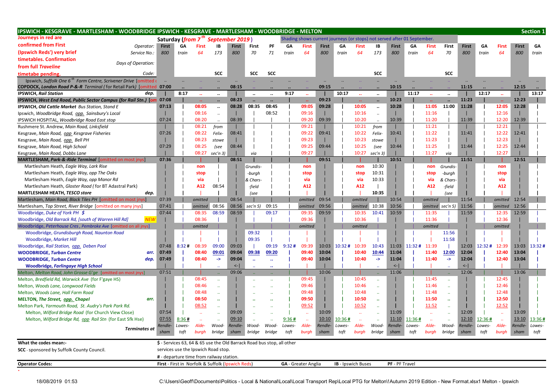| IPSWICH - KESGRAVE - MARTLESHAM - WOODBRIDGE IPSWICH - KESGRAVE - MARTLESHAM - WOODBRIDGE - MELTON |               |       |                                                                        |               |                     |                      |                      |       |                            |               |        |                                                                          |                      |                |                |           |                      |               |        |                            |               | <b>Section 1</b> |
|----------------------------------------------------------------------------------------------------|---------------|-------|------------------------------------------------------------------------|---------------|---------------------|----------------------|----------------------|-------|----------------------------|---------------|--------|--------------------------------------------------------------------------|----------------------|----------------|----------------|-----------|----------------------|---------------|--------|----------------------------|---------------|------------------|
| Journeys in red are                                                                                |               |       | Saturday ( <i>from</i> 7 <sup>th</sup> September 2019)                 |               |                     |                      |                      |       |                            |               |        | Shading shows current journeys (or stops) not served after 01 September. |                      |                |                |           |                      |               |        |                            |               |                  |
| confirmed from First<br>Operator: First                                                            |               | GΑ    | First                                                                  | IB            | <b>First</b>        | First                | PF                   | GА    | First                      | First         | GA     | <b>First</b>                                                             | IB                   | First          | GΑ             | First     | First                | First         | GΑ     | First                      | First         | GA               |
| (Ipswich Reds') very brief<br>Service No.:                                                         | 800           | train | 64                                                                     | 173           | 800                 | 70                   | 71                   | train | 64                         | 800           | train  | 64                                                                       | 173                  | 800            | train          | 64        | 70                   | 800           | train  | 64                         | 800           | train            |
| timetables. Confirmation                                                                           |               |       |                                                                        |               |                     |                      |                      |       |                            |               |        |                                                                          |                      |                |                |           |                      |               |        |                            |               |                  |
| Days of Operation:<br>from full Traveline                                                          |               |       |                                                                        |               |                     |                      |                      |       |                            |               |        |                                                                          |                      |                |                |           |                      |               |        |                            |               |                  |
| Code:<br>timetabe pending                                                                          |               |       |                                                                        | <b>SCC</b>    |                     | <b>SCC</b>           | <b>SCC</b>           |       |                            |               |        |                                                                          | <b>SCC</b>           |                |                |           | <b>SCC</b>           |               |        |                            |               |                  |
| Ipswich, Suffolk One 6 <sup>th</sup> Form Centre, Scrivener Drive [omitted of                      |               |       |                                                                        |               |                     |                      |                      |       |                            | $\ddotsc$     |        |                                                                          |                      |                |                |           |                      |               |        |                            |               |                  |
| <b>COPDOCK, London Road P-&amp;-R</b> Terminal (for Retail Park) [omitted 07:00                    |               |       |                                                                        |               | 08:15               |                      |                      |       |                            | 09:15         |        |                                                                          |                      | 10:15          |                |           |                      | 11:15         |        | $\ddotsc$                  | 12:15         |                  |
| <b>IPSWICH, Rail Station</b><br>dep.                                                               |               | 8:17  | $\ddotsc$                                                              | $\ddotsc$     |                     | $\ddot{\phantom{0}}$ |                      | 9:17  | $\ddot{\phantom{a}}$       |               | 10:17  | $\ddotsc$                                                                | $\ddot{\phantom{0}}$ |                | 11:17          | $\ddotsc$ | $\ddot{\phantom{0}}$ |               | 12:17  | $\ddotsc$                  |               | 13:17            |
| IPSWICH, West End Road, Public Sector Campus (for Rail Stn.) [om 07:08                             |               |       | $\mathbf{r}$ .                                                         |               | 08:23               |                      |                      |       | $\mathbf{r}$               | 09:23         |        | $\mathbf{r}$                                                             |                      | 10:23          |                |           |                      | 11:23         |        |                            | 12:23         |                  |
| <b>IPSWICH, Old Cattle Market Bus Station, Stand E</b>                                             | 07:13         |       | 08:05                                                                  | $\cdot\cdot$  | 08:28               | 08:35                | 08:45                |       | 09:05                      | 09:28         |        | 10:05                                                                    | $\ddot{\phantom{a}}$ | 10:28          |                | 11:05     | 11:00                | 11:28         |        | 12:05                      | 12:28         |                  |
| Ipswich, Woodbridge Road, opp. Sainsbury's Local                                                   |               |       | 08:16                                                                  | $\ldots$      |                     |                      | 08:52                |       | 09:16                      |               |        | 10:16                                                                    | $\ddot{\phantom{a}}$ |                |                | 11:16     |                      |               |        | 12:16                      |               |                  |
| IPSWICH HOSPITAL, Woodbridge Road East stop                                                        | 07:24         |       | 08:20                                                                  | $\ddotsc$     | 08:39               |                      |                      |       | 09:20                      | 09:39         |        | 10:20                                                                    |                      | 10:39          |                | 11:20     |                      | 11:39         |        | 12:20                      | 12:39         |                  |
| Rushmere St. Andrew, Main Road, Linksfield                                                         |               |       | 08:21                                                                  | from          |                     |                      |                      |       | 09:21                      |               |        | 10:21                                                                    | from                 |                |                | 11:21     |                      |               |        | 12:21                      |               |                  |
| Kesgrave, Main Road, opp Kesgrave Fisheries                                                        | 07:26         |       | 08:22                                                                  | Felix-        | 08:41               |                      |                      |       | 09:22                      | 09:41         |        | 10:22                                                                    | Felix-               | 10:41          |                | 11:22     |                      | 11:41         |        | 12:22                      | 12:41         |                  |
| Kesgrave, Main Road, opp. Bell PH                                                                  |               |       | 08:23                                                                  | stowe         |                     |                      |                      |       | 09:23                      |               |        | 10:23                                                                    | stowe                |                |                | 11:23     |                      |               |        | 12:23                      |               |                  |
| Kesgrave, Main Road, High School                                                                   | 07:29         |       | 08:25                                                                  | (see          | 08:44               |                      |                      |       | 09:25                      | 09:44         |        | 10:25                                                                    | (see                 | 10:44          |                | 11:25     |                      | 11:44         |        | 12:25                      | 12:44         |                  |
| Kesgrave, Main Road, Dobbs Lane                                                                    |               |       | 08:27                                                                  | sec'n 3)      |                     | via                  |                      |       | 09:27                      |               |        | 10:27                                                                    | sec'n 3)             |                |                | 11:27     | via                  |               |        | 12:27                      |               |                  |
| MARTLESHAM, Park-&-Ride Terminal [omitted on most jnys]                                            | 07:36         |       |                                                                        |               | 08:51               |                      |                      |       |                            | 09:51         |        |                                                                          |                      | 10:51          |                |           |                      | 11:51         |        |                            | 12:51         |                  |
| Martlesham Heath, Eagle Way, Lark Rise                                                             |               |       | non                                                                    |               |                     | Grundis-             |                      |       | non                        |               |        | non                                                                      | 10:30                |                |                | non       | <b>Grundis</b>       |               |        | non                        |               |                  |
| Martlesham Heath, Eagle Way, opp The Oaks                                                          |               |       | stop                                                                   |               |                     | -burgh               |                      |       | stop                       |               |        | stop                                                                     | 10:31                |                |                | stop      | -burgh               |               |        | stop                       |               |                  |
| Martlesham Heath, Eagle Way, opp Manor Rd                                                          |               |       | via                                                                    |               |                     | & Chars              |                      |       | via                        |               |        | via                                                                      | 10:33                |                |                | via       | & Chars-             |               |        | via                        |               |                  |
| Martlesham Heath, Gloster Road (for BT Adastral Park)                                              |               |       | A12                                                                    | 08:54         |                     | -field               |                      |       | A12                        |               |        | A12                                                                      |                      |                |                | A12       | -field               |               |        | A12                        |               |                  |
| dep.<br>MARTLESHAM HEATH, TESCO store                                                              |               |       |                                                                        |               |                     | (see                 |                      |       |                            |               |        |                                                                          | 10:35                |                |                |           | (see                 |               |        |                            |               |                  |
| Martlesham, Main Road, Black Tiles PH [omitted on most jnys]                                       | 07:39         |       | omitted                                                                |               | 08:54               |                      |                      |       | omitted                    | 09:54         |        | omitted                                                                  |                      | 10:54          |                | omitted   |                      | 11:54         |        | omitted                    | 12:54         |                  |
| Martlesham, Top Street, River Bridge [omitted on many jnys]                                        | 07:41         |       | omitted                                                                | 08:56         | 08:56               | sec'n 5)             | 09:15                |       | omitted                    | 09:56         |        | omitted                                                                  | 10:38                | 10:56          |                |           | $omitted$ sec'n 5)   | 11:56         |        | omitted                    | 12:56         |                  |
| Woodbridge, Duke of York PH \$                                                                     | 07:44         |       | 08:35                                                                  | 08:59         | 08:59               |                      | 09:17                |       | 09:35                      | 09:59         |        | 10:35                                                                    | 10:41                | 10:59          |                | 11:35     |                      | 11:59         |        | 12:35                      | 12:59         |                  |
| Woodbridge, Old Barrack Rd, [south of Warren Hill Rd]<br><b>NEW</b>                                |               |       | 08:36                                                                  |               |                     |                      |                      |       | 09:36                      |               |        | 10:36                                                                    |                      |                |                | 11:36     |                      |               |        | 12:36                      |               |                  |
| Woodbridge, Peterhouse Cres, Pembroke Ave [omitted on all jnys]                                    |               |       | omitted                                                                |               |                     |                      |                      |       | omitted                    |               |        | omitted                                                                  |                      |                |                | omitted   |                      |               |        | omitted                    |               |                  |
| Woodbridge, Grundisburgh Road, Naunton Road                                                        |               |       |                                                                        |               |                     | 09:32                |                      |       |                            |               |        |                                                                          |                      |                |                |           | 11:56                |               |        |                            |               |                  |
| Woodbridge, Market Hill                                                                            |               |       |                                                                        |               |                     | 09:35                |                      |       |                            |               |        |                                                                          |                      |                |                |           | 11:58                |               |        |                            |               |                  |
| Woodbridge, Rail Station, opp. Deben Pool                                                          | 07:48         | 8:32# | 08:39                                                                  | 09:00         | 09:03               |                      | 09:19                | 9:32# | 09:39                      | 10:03         | 10:32# | 10:39                                                                    | 10:43                |                | $11:03$ 11:32# | 11:39     |                      | 12:03         | 12:32# | 12:39                      | 13:03         | 13:32#           |
| <b>WOODBRIDGE, Turban Centre</b><br>arr.                                                           | 07:49         |       | 08:40                                                                  | 09:01         | 09:04               | 09:38                | 09:20                |       | 09:40                      | 10:04         |        | 10:40                                                                    | 10:44                | 11:04          |                | 11:40     | 12:00                | 12:04         |        | 12:40                      | 13:04         |                  |
| <b>WOODBRIDGE, Turban Centre</b><br>dep.                                                           | 07:49         |       | 08:40                                                                  | $\rightarrow$ | 09:04               | $\ddot{\phantom{1}}$ | $\ddot{\phantom{1}}$ |       | 09:40                      | 10:04         |        | 10:40                                                                    | $\rightarrow$        | 11:04          |                | 11:40     | $\rightarrow$        | 12:04         |        | 12:40                      | 13:04         |                  |
| Woodbridge, Farlingaye High School                                                                 |               |       |                                                                        | $\ddotsc$     | $\left  $           | $\ddot{\phantom{a}}$ |                      |       |                            |               |        |                                                                          |                      | $\left  $      |                |           |                      | $\leftarrow$  |        |                            |               |                  |
| Melton, Melton Road, John Grosse G'ge [omitted on most jnys]                                       | 07:51         |       |                                                                        |               | 09:06               |                      |                      |       |                            | 10:06         |        |                                                                          |                      | 11:06          |                |           |                      | 12:06         |        |                            | 13:06         |                  |
| Melton, Bredfield Rd, Warwick Ave (for F'gaye HS)                                                  |               |       | 08:45                                                                  | $\ddotsc$     |                     |                      | $\ddot{\phantom{a}}$ |       | 09:45                      |               |        | 10:45                                                                    |                      |                |                | 11:45     |                      |               |        | 12:45                      |               |                  |
| Melton, Woods Lane, Longwood Fields                                                                |               |       | 08:46                                                                  | $\ddotsc$     |                     |                      |                      |       | 09:46                      |               |        | 10:46                                                                    | ٠.                   |                |                | 11:46     | $\ddotsc$            |               |        | 12:46                      |               |                  |
| Melton, Woods Lane, Hall Farm Road                                                                 |               |       | 08:48                                                                  | $\ddotsc$     |                     |                      |                      |       | 09:48                      |               |        | 10:48                                                                    |                      |                |                | 11:48     |                      |               |        | 12:48                      |               |                  |
| MELTON, The Street, opp. Chapel<br>arr.                                                            |               |       | 08:50                                                                  | $\bullet$     |                     |                      |                      |       | 09:50                      |               |        | 10:50                                                                    |                      |                |                | 11:50     | $\ddot{\phantom{1}}$ |               |        | 12:50                      |               |                  |
| Melton Park, Yarmouth Road, St. Audry's Park Park Rd.                                              |               |       | 08:52                                                                  | $\ddotsc$     |                     |                      |                      |       | 09:52                      |               |        | 10:52                                                                    |                      |                |                | 11:52     |                      |               |        | 12:52                      |               |                  |
| Melton, Wilford Bridge Road (for Church View Close)                                                | 07:54         |       |                                                                        | $\ddotsc$     | 09:09               |                      |                      |       | $\ddotsc$                  | 10:09         |        |                                                                          |                      | 11:09          |                |           |                      | 12:09         |        | $\mathcal{L}_{\mathbf{z}}$ | 13:09         |                  |
| Melton, Wilford Bridge Rd, opp Rail Stn (for East Sfk Hse)                                         | 07:55         | 8:36# |                                                                        |               | 09:10               |                      |                      | 9:36# |                            | 10:10         | 10:36# |                                                                          |                      | 11:10          | 11:36#         |           |                      | 12:10         | 12:36# |                            | 13:10         | 13:36#           |
| Terminates at                                                                                      | Rendle-Lowes- |       | Alde-                                                                  |               | Wood- Rendle- Wood- |                      | Wood- Lowes-         |       | Alde-                      | Rendle-Lowes- |        | Alde-                                                                    | Wood-                | Rendle- Lowes- |                | Alde-     | Wood-                | Rendle-Lowes- |        | Alde-                      | Rendle-Lowes- |                  |
|                                                                                                    | sham          | toft  | burah                                                                  | bridge        | sham                | bridge               | bridge               | toft  | burgh                      | sham          | toft   | burgh                                                                    | bridge               | sham           | toft           | burgh     | bridge               | sham          | toft   | burgh                      | sham          | toft             |
| What the codes mean:-                                                                              |               |       | \$ - Services 63, 64 & 65 use the Old Barrack Road bus stop, all other |               |                     |                      |                      |       |                            |               |        |                                                                          |                      |                |                |           |                      |               |        |                            |               |                  |
| <b>SCC</b> - sponsored by Suffolk County Council.                                                  |               |       | services use the Ipswich Road stop.                                    |               |                     |                      |                      |       |                            |               |        |                                                                          |                      |                |                |           |                      |               |        |                            |               |                  |
|                                                                                                    |               |       | # - departure time from railway station.                               |               |                     |                      |                      |       |                            |               |        |                                                                          |                      |                |                |           |                      |               |        |                            |               |                  |
| <b>Operator Codes:</b>                                                                             |               |       | First - First in Norfolk & Suffolk (Ipswich Reds)                      |               |                     |                      |                      |       | <b>GA</b> - Greater Anglia |               |        | <b>IB</b> - Ipswich Buses                                                |                      | PF - PF Travel |                |           |                      |               |        |                            |               |                  |
|                                                                                                    |               |       |                                                                        |               |                     |                      |                      |       |                            |               |        |                                                                          |                      |                |                |           |                      |               |        |                            |               |                  |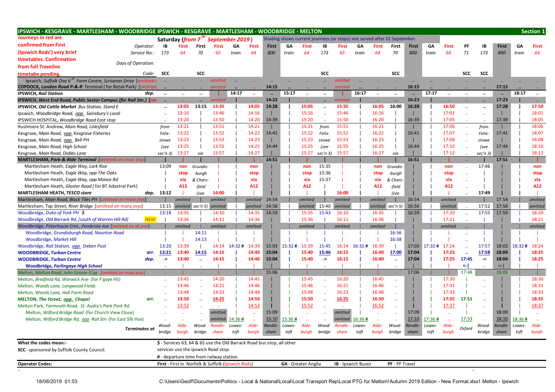| IPSWICH - KESGRAVE - MARTLESHAM - WOODBRIDGE IPSWICH - KESGRAVE - MARTLESHAM - WOODBRIDGE - MELTON |                      |                |                      |                                                                        |                 |                      |           |                |                            |                      |                                                                          |               |                      |                      |                      |        |                |                      |                      |                         |        | <b>Section 1</b> |
|----------------------------------------------------------------------------------------------------|----------------------|----------------|----------------------|------------------------------------------------------------------------|-----------------|----------------------|-----------|----------------|----------------------------|----------------------|--------------------------------------------------------------------------|---------------|----------------------|----------------------|----------------------|--------|----------------|----------------------|----------------------|-------------------------|--------|------------------|
| Journeys in red are                                                                                |                      |                |                      | Saturday ( <i>from</i> 7 <sup>th</sup> September 2019)                 |                 |                      |           |                |                            |                      | Shading shows current journeys (or stops) not served after 01 September. |               |                      |                      |                      |        |                |                      |                      |                         |        |                  |
| confirmed from First<br>Operator:                                                                  | IB                   | First          | First                | First                                                                  | GΑ              | First                | First     | GA             | First                      | IB                   | First                                                                    | GA            | First                | First                | First                | GА     | First          | PF                   | IB                   | <b>First</b>            | GΑ     | First            |
| (Ipswich Reds') very brief<br>Service No.:                                                         | 173                  | 64             | 70                   | 65                                                                     | train           | 64                   | 800       | train          | 64                         | 173                  | 65                                                                       | train         | 64                   | 70                   | 800                  | train  | 64             | 71                   | 173                  | 800                     | train  | 64               |
| timetables. Confirmation                                                                           |                      |                |                      |                                                                        |                 |                      |           |                |                            |                      |                                                                          |               |                      |                      |                      |        |                |                      |                      |                         |        |                  |
| Days of Operation:<br>from full Traveline                                                          |                      |                |                      |                                                                        |                 |                      |           |                |                            |                      |                                                                          |               |                      |                      |                      |        |                |                      |                      |                         |        |                  |
| Code:<br>timetabe pending                                                                          | <b>SCC</b>           |                | <b>SCC</b>           |                                                                        |                 |                      |           |                |                            | <b>SCC</b>           |                                                                          |               |                      | <b>SCC</b>           |                      |        |                | <b>SCC</b>           | <b>SCC</b>           |                         |        |                  |
| Ipswich, Suffolk One 6 <sup>th</sup> Form Centre, Scrivener Drive [omitted $\epsilon$              | $\ddotsc$            | $\sim$ .       |                      | omitted                                                                |                 |                      | $\ddotsc$ |                |                            |                      | omitted                                                                  |               |                      |                      |                      |        |                |                      |                      |                         |        |                  |
| <b>COPDOCK, London Road P-&amp;-R</b> Terminal (for Retail Park) [omitted                          | $\cdot$              | $\sim$         | $\mathbf{r}$ .       | omitted                                                                |                 |                      | 14:15     |                |                            |                      | omitted                                                                  |               |                      |                      | 16:15                |        |                |                      |                      | 17:15                   |        |                  |
| <b>IPSWICH, Rail Station</b><br>dep.                                                               | $\ddotsc$            | $\mathbf{u}$   | $\ldots$             |                                                                        | 14:17           | $\ddot{\phantom{1}}$ | $\ddotsc$ | 15:17          | $\ddot{\phantom{1}}$       | $\cdot$              |                                                                          | 16:17         | $\ddot{\phantom{a}}$ |                      | $\ddot{\phantom{a}}$ | 17:17  | $\ddotsc$      | $\sim$               | $\cdot \cdot$        | $\ddotsc$               | 18:17  | $\sim$           |
| <b>IPSWICH, West End Road, Public Sector Campus (for Rail Stn.) [om</b>                            | $\ddotsc$            | $\mathbf{r}$ . | $\ddotsc$            | omitted                                                                |                 | $\mathbf{r}$         | 14:23     |                | $\bullet$ .                |                      | omitted                                                                  |               | $\mathbf{r}$ .       |                      | 16:23                |        | $\mathbf{r}$ . | $\mathbf{r}$ .       | $\ddot{\phantom{a}}$ | 17:23                   |        | $\sim 10^{-1}$   |
| <b>IPSWICH, Old Cattle Market Bus Station, Stand E</b>                                             | $\ldots$             | 13:05          | 13:15                | 13:35                                                                  |                 | 14:05                | 14:28     |                | 15:05                      | $\ddot{\phantom{a}}$ | 15:35                                                                    |               | 16:05                | 16:00                | 16:28                |        | 16:50          | $\sim$               | $\ddot{\phantom{a}}$ | 17:28                   |        | 17:50            |
| Ipswich, Woodbridge Road, opp. Sainsbury's Local                                                   | $\cdot \cdot$        | 13:16          |                      | 13:46                                                                  |                 | 14:16                |           |                | 15:16                      | $\ddotsc$            | 15:46                                                                    |               | 16:16                |                      |                      |        | 17:01          | $\ddot{\phantom{a}}$ | $\ddotsc$            |                         |        | 18:01            |
| IPSWICH HOSPITAL, Woodbridge Road East stop                                                        |                      | 13:20          |                      | 13:50                                                                  |                 | 14:20                | 14:39     |                | 15:20                      | $\ddotsc$            | 15:50                                                                    |               | 16:20                |                      | 16:39                |        | 17:05          | $\ddot{\phantom{a}}$ | $\ddotsc$            | 17:39                   |        | 18:05            |
| Rushmere St. Andrew, Main Road, Linksfield                                                         | from                 | 13:21          |                      | 13:51                                                                  |                 | 14:21                |           |                | 15:21                      | from                 | 15:51                                                                    |               | 16:21                |                      |                      |        | 17:06          | $\sim$               | from                 |                         |        | 18:06            |
| Kesgrave, Main Road, opp Kesgrave Fisheries                                                        | Felix-               | 13:22          |                      | 13:52                                                                  |                 | 14:22                | 14:41     |                | 15:22                      | Felix-               | 15:52                                                                    |               | 16:22                |                      | 16:41                |        | 17:07          | $\ddot{\phantom{a}}$ | Felix-               | 17:41                   |        | 18:07            |
| Kesgrave, Main Road, opp. Bell PH                                                                  | stowe                | 13:23          |                      | 13:53                                                                  |                 | 14:23                |           |                | 15:23                      | stowe                | 15:53                                                                    |               | 16:23                |                      |                      |        | 17:08          |                      | stowe                |                         |        | 18:08            |
| Kesgrave, Main Road, High School                                                                   | (see                 | 13:25          |                      | 13:55                                                                  |                 | 14:25                | 14:44     |                | 15:25                      | (see                 | 15:55                                                                    |               | 16:25                |                      | 16:44                |        | 17:10          |                      | (see                 | 17:44                   |        | 18:10            |
| Kesgrave, Main Road, Dobbs Lane                                                                    | $sec'n$ 3)           | 13:27          | via                  | 13:57                                                                  |                 | 14:27                |           |                | 15:27                      | sec'n 3)             | 15:57                                                                    |               | 16:27                | via                  |                      |        | 17:12          |                      | sec'n 3)             |                         |        | 18:12            |
| <b>MARTLESHAM, Park-&amp;-Ride Terminal [omitted on most jnys]</b>                                 |                      |                |                      |                                                                        |                 |                      | 14:51     |                |                            |                      |                                                                          |               |                      |                      | 16:51                |        |                |                      |                      | 17:51                   |        |                  |
| Martlesham Heath, Eagle Way, Lark Rise                                                             | 13:09                | non            | Grundis-             |                                                                        |                 | non                  |           |                | non                        | 15:35                |                                                                          |               | non                  | <b>Grundis</b>       |                      |        | non            |                      | 17:46                |                         |        | non              |
| Martlesham Heath, Eagle Way, opp The Oaks                                                          |                      | stop           | -burgh               |                                                                        |                 | stop                 |           |                | stop                       | 15:36                |                                                                          |               | stop                 | -burgh               |                      |        | stop           |                      |                      |                         |        | stop             |
| Martlesham Heath, Eagle Way, opp Manor Rd                                                          |                      | via            | & Chars-             |                                                                        |                 | via                  |           |                | via                        | 15:37                |                                                                          |               | via                  | & Chars-             |                      |        | via            |                      |                      |                         |        | via              |
| Martlesham Heath, Gloster Road (for BT Adastral Park)                                              |                      | A12            | -field               |                                                                        |                 | A12                  |           |                | A12                        |                      |                                                                          |               | A12                  | -field               |                      |        | A12            |                      |                      |                         |        | A12              |
| <b>MARTLESHAM HEATH, TESCO store</b>                                                               | dep. 13:12           |                | (see                 | 14:00                                                                  |                 |                      |           |                |                            |                      | 16:00                                                                    |               |                      | (see                 |                      |        |                | $\ddot{\phantom{a}}$ | 17:49                |                         |        |                  |
| Martlesham, Main Road, Black Tiles PH [omitted on most jnys]                                       |                      | omitted        |                      | omitted                                                                |                 | omitted              | 14:54     |                | omitted                    |                      | omitted                                                                  |               | omitted              |                      | 16:54                |        | omitted        |                      |                      | 17:54                   |        | omitted          |
| Martlesham, Top Street, River Bridge [omitted on many jnys]                                        | 13:15                |                |                      | omitted sec'n 5) omitted                                               |                 | omitted              | 14:56     |                | omitted                    | 15:40                | omitted                                                                  |               |                      | omitted sec'n 5)     | 16:56                |        | omitted        |                      | 17:52                | 17:56                   |        | omitted          |
| Woodbridge, Duke of York PH \$                                                                     | 13:18                | 13:35          |                      | 14:10                                                                  |                 | 14:35                | 14:59     |                | 15:35                      | 15:43                | 16:10                                                                    |               | 16:35                |                      | 16:59                |        | 17:20          | $\ddot{\phantom{a}}$ | 17:55                | 17:59                   |        | 18:20            |
| Woodbridge, Old Barrack Rd, [south of Warren Hill Rd]<br><b>NEW</b>                                |                      | 13:36          |                      | 14:11                                                                  |                 | 14:36                |           |                | 15:36                      |                      | 16:11                                                                    |               | 16:36                |                      |                      |        | 17:21          |                      |                      |                         |        | 18:21            |
| Woodbridge, Peterhouse Cres, Pembroke Ave [omitted on all jnys]                                    |                      | omitted        |                      | omitted                                                                |                 | omitted              |           |                | omitted                    |                      | omitted                                                                  |               | omitted              |                      |                      |        | omitted        |                      |                      |                         |        | omitted          |
| Woodbridge, Grundisburgh Road, Naunton Road                                                        |                      |                | 14:11                |                                                                        |                 |                      |           |                |                            |                      |                                                                          |               |                      | 16:56                |                      |        |                | Ω.                   |                      |                         |        |                  |
| Woodbridge, Market Hill                                                                            |                      |                | 14:13                |                                                                        |                 |                      |           |                |                            |                      |                                                                          |               |                      | 16:58                |                      |        |                |                      |                      |                         |        |                  |
| Woodbridge, Rail Station, opp. Deben Pool                                                          | 13:20                | 13:39          |                      |                                                                        | 14:14 14:32#    | 14:39                | 15:03     | 15:32#         | 15:39                      | 15:45                | 16:14                                                                    | 16:32 # 16:39 |                      |                      | 17:03                | 17:32# | 17:24          |                      | 17:57                | 18:03                   | 18:32# | 18:24            |
| <b>WOODBRIDGE, Turban Centre</b><br>arr.                                                           | 13:21                | 13:40          | 14:15                | 14:15                                                                  |                 | 14:40                | 15:04     |                | 15:40                      | 15:46                | 16:15                                                                    |               | 16:40                | 17:00                | 17:04                |        | 17:25          | $\sim$               | 17:58                | 18:04                   |        | 18:25            |
| <b>WOODBRIDGE, Turban Centre</b><br>dep.                                                           | $\rightarrow$        | 13:40          | $\ddot{\phantom{1}}$ | 14:15                                                                  |                 | 14:40                | 15:04     |                | 15:40                      | $\rightarrow$        | 16:15                                                                    |               | 16:40                | $\ddot{\phantom{1}}$ | 17:04                |        | 17:25          | 17:45                | $\rightarrow$        | 18:04                   |        | 18:25            |
| <b>Woodbridge, Farlingaye High School</b>                                                          |                      |                |                      |                                                                        |                 |                      |           |                |                            |                      |                                                                          |               |                      |                      |                      |        |                | $\leftarrow$         |                      | $\left\langle -\right $ |        |                  |
| Melton, Melton Road, John Grosse G'ge [omitted on most jnys]                                       |                      |                |                      |                                                                        |                 |                      | 15:06     |                |                            |                      |                                                                          |               |                      |                      | 17:06                |        |                | 17:48                | $\sim$               | 18:06                   |        |                  |
| Melton, Bredfield Rd, Warwick Ave (for F'gaye HS)                                                  | $\ddot{\phantom{a}}$ | 13:45          | $\mathbb{Z}^2$       | 14:20                                                                  |                 | 14:45                |           |                | 15:45                      | $\ddotsc$            | 16:20                                                                    |               | 16:45                | $\ddot{\phantom{a}}$ |                      |        | 17:30          |                      |                      |                         |        | 18:30            |
| Melton, Woods Lane, Longwood Fields                                                                |                      | 13:46          |                      | 14:21                                                                  |                 | 14:46                |           |                | 15:46                      |                      | 16:21                                                                    |               | 16:46                |                      |                      |        | 17:31          |                      |                      |                         |        | 18:31            |
| Melton, Woods Lane, Hall Farm Road                                                                 |                      | 13:48          | $\mathbf{1}$         | 14:23                                                                  |                 | 14:48                |           |                | 15:48                      | $\mathbf{1}$         | 16:23                                                                    |               | 16:48                |                      |                      |        | 17:33          |                      | Ω,                   |                         |        | 18:33            |
| MELTON, The Street, opp. Chapel<br>arr.                                                            | $\ddotsc$            | 13:50          | $\ddotsc$            | 14:25                                                                  |                 | 14:50                |           |                | 15:50                      | $\ddotsc$            | 16:25                                                                    |               | 16:50                | $\ddot{\phantom{a}}$ |                      |        | 17:35          | 17:51                | $\ddot{\phantom{a}}$ |                         |        | 18:35            |
| Melton Park, Yarmouth Road, St. Audry's Park Park Rd.                                              |                      | 13:52          | $\ddotsc$            | $\sim$                                                                 |                 | 14:52                |           |                | 15:52                      | $\ddotsc$            | $\mathbb{Z}^2$                                                           |               | 16:52                |                      |                      |        | 17:37          |                      |                      |                         |        | 18:37            |
| Melton, Wilford Bridge Road (for Church View Close)                                                |                      |                |                      | omitted                                                                |                 | $\mathbf{1}$         | 15:09     |                | $\mathbf{1}$               |                      | omitted                                                                  |               | $\ddot{\phantom{a}}$ | $\ddot{\phantom{1}}$ | 17:09                |        |                |                      |                      | 18:09                   |        |                  |
| Melton, Wilford Bridge Rd, opp Rail Stn (for East Sfk Hse)                                         |                      |                |                      |                                                                        | omitted 14:36 # |                      | 15:10     | 15:36#         |                            |                      | omitted 16:36#                                                           |               |                      |                      | 17:10                | 17:36# |                | 17:53                |                      | 18:10                   | 18:36# |                  |
|                                                                                                    | Wood-                | Alde-          |                      | Wood- Rendle- Lowes-                                                   |                 | Alde-                |           | Rendle- Lowes- | Alde-                      |                      | Wood- Rendle-                                                            | Lowes-        | Alde-                |                      | Wood- Rendle- Lowes- |        | Alde-          |                      |                      | Wood- Rendle- Lowes-    |        | Alde-            |
| Terminates at                                                                                      |                      | bridge burgh   | bridge               | sham                                                                   | toft            | burgh                | sham      | toft           | burgh                      | bridge sham          |                                                                          | toft          | burgh                | bridge               | sham                 | toft   | burgh          | Orford               | bridge               | sham                    | toft   | burgh            |
| What the codes mean:-                                                                              |                      |                |                      | \$ - Services 63, 64 & 65 use the Old Barrack Road bus stop, all other |                 |                      |           |                |                            |                      |                                                                          |               |                      |                      |                      |        |                |                      |                      |                         |        |                  |
| SCC - sponsored by Suffolk County Council.                                                         |                      |                |                      | services use the Ipswich Road stop.                                    |                 |                      |           |                |                            |                      |                                                                          |               |                      |                      |                      |        |                |                      |                      |                         |        |                  |
|                                                                                                    |                      |                |                      | # - departure time from railway station.                               |                 |                      |           |                |                            |                      |                                                                          |               |                      |                      |                      |        |                |                      |                      |                         |        |                  |
| <b>Operator Codes:</b>                                                                             |                      |                |                      | First - First in Norfolk & Suffolk (Ipswich Reds)                      |                 |                      |           |                | <b>GA</b> - Greater Anglia |                      | <b>IB</b> - Ipswich Buses                                                |               |                      | PF - PF Travel       |                      |        |                |                      |                      |                         |        |                  |
|                                                                                                    |                      |                |                      |                                                                        |                 |                      |           |                |                            |                      |                                                                          |               |                      |                      |                      |        |                |                      |                      |                         |        |                  |